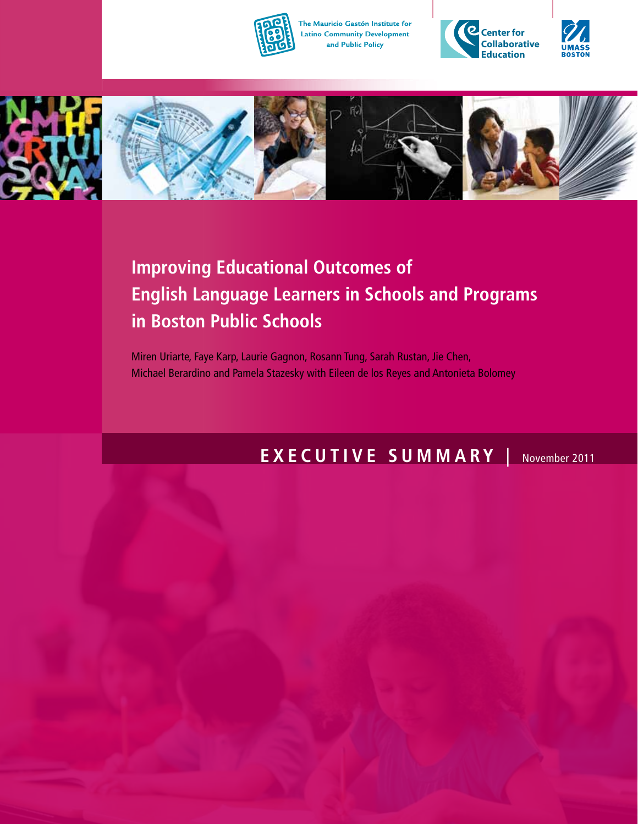

The Mauricio Gastón Institute for **Latino Community Development** and Public Policy







# **Improving Educational Outcomes of English Language Learners in Schools and Programs in Boston Public Schools**

Miren Uriarte, Faye Karp, Laurie Gagnon, Rosann Tung, Sarah Rustan, Jie Chen, Michael Berardino and Pamela Stazesky with Eileen de los Reyes and Antonieta Bolomey

# **EXECUTIVE SUMMARY** | November 2011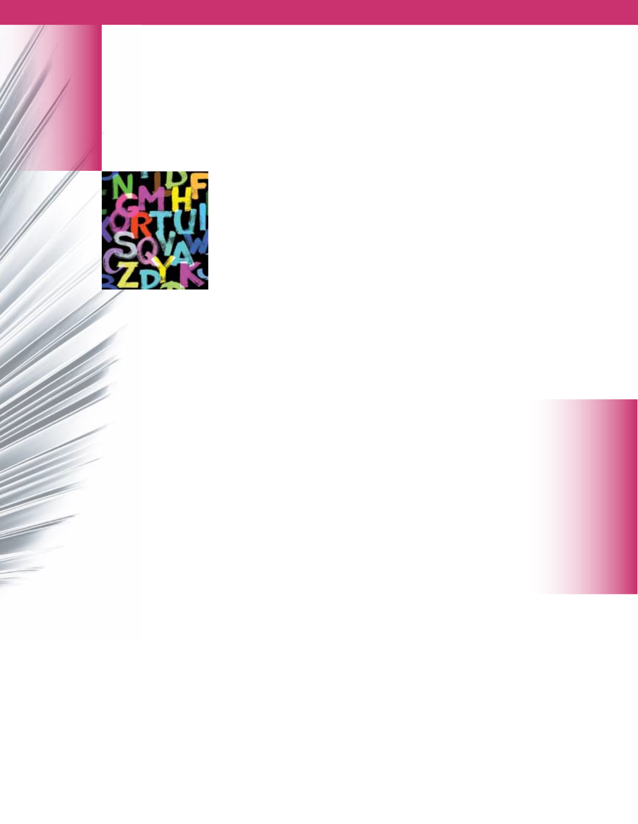



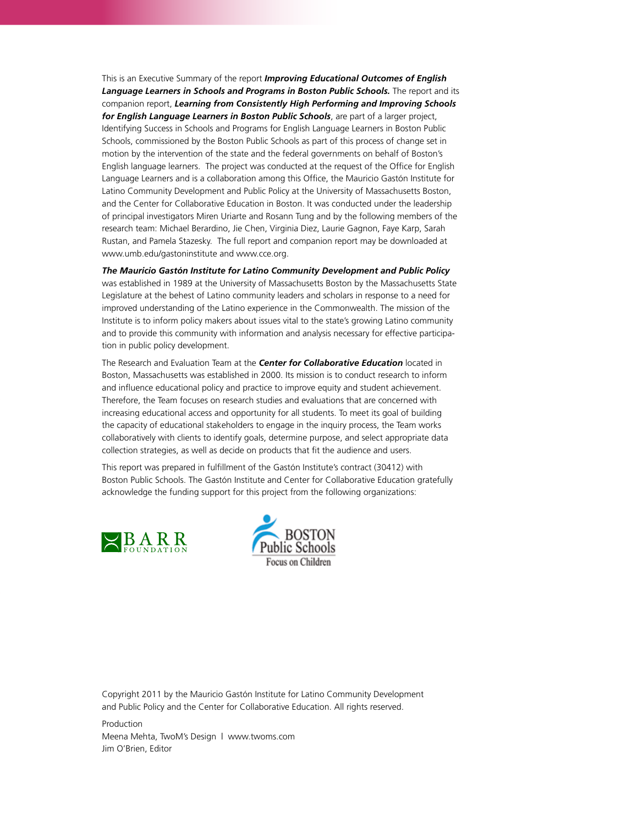This is an Executive Summary of the report *Improving Educational Outcomes of English Language Learners in Schools and Programs in Boston Public Schools.* The report and its companion report, *Learning from Consistently High Performing and Improving Schools for English Language Learners in Boston Public Schools*, are part of a larger project, Identifying Success in Schools and Programs for English Language Learners in Boston Public Schools, commissioned by the Boston Public Schools as part of this process of change set in motion by the intervention of the state and the federal governments on behalf of Boston's English language learners. The project was conducted at the request of the Office for English Language Learners and is a collaboration among this Office, the Mauricio Gastón Institute for Latino Community Development and Public Policy at the University of Massachusetts Boston, and the Center for Collaborative Education in Boston. It was conducted under the leadership of principal investigators Miren Uriarte and Rosann Tung and by the following members of the research team: Michael Berardino, Jie Chen, Virginia Diez, Laurie Gagnon, Faye Karp, Sarah Rustan, and Pamela Stazesky. The full report and companion report may be downloaded at www.umb.edu/gastoninstitute and www.cce.org.

*The Mauricio Gastón Institute for Latino Community Development and Public Policy*

was established in 1989 at the University of Massachusetts Boston by the Massachusetts State Legislature at the behest of Latino community leaders and scholars in response to a need for improved understanding of the Latino experience in the Commonwealth. The mission of the Institute is to inform policy makers about issues vital to the state's growing Latino community and to provide this community with information and analysis necessary for effective participation in public policy development.

The Research and Evaluation Team at the *Center for Collaborative Education* located in Boston, Massachusetts was established in 2000. Its mission is to conduct research to inform and influence educational policy and practice to improve equity and student achievement. Therefore, the Team focuses on research studies and evaluations that are concerned with increasing educational access and opportunity for all students. To meet its goal of building the capacity of educational stakeholders to engage in the inquiry process, the Team works collaboratively with clients to identify goals, determine purpose, and select appropriate data collection strategies, as well as decide on products that fit the audience and users.

This report was prepared in fulfillment of the Gastón Institute's contract (30412) with Boston Public Schools. The Gastón Institute and Center for Collaborative Education gratefully acknowledge the funding support for this project from the following organizations:





Copyright 2011 by the Mauricio Gastón Institute for Latino Community Development and Public Policy and the Center for Collaborative Education. All rights reserved.

Production Meena Mehta, TwoM's Design | www.twoms.com Jim O'Brien, Editor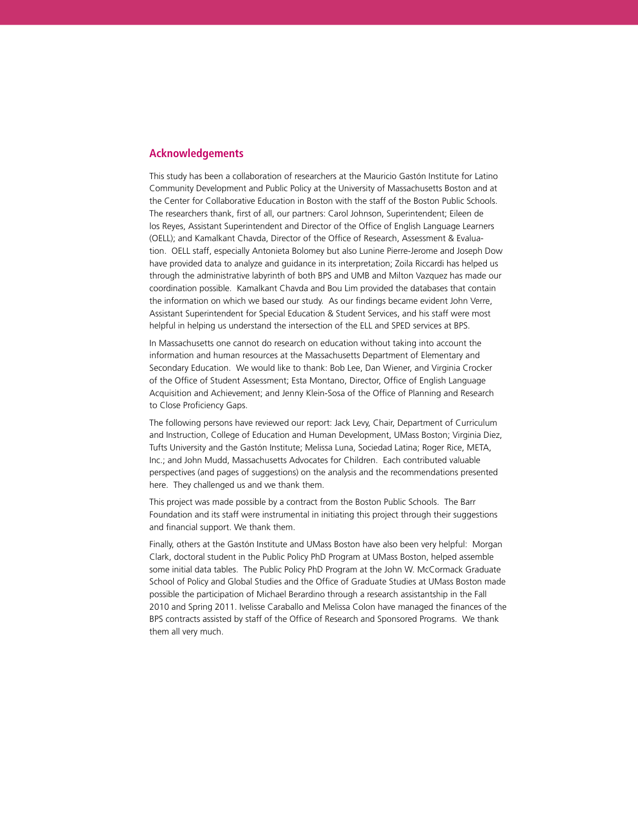## **Acknowledgements**

This study has been a collaboration of researchers at the Mauricio Gastón Institute for Latino Community Development and Public Policy at the University of Massachusetts Boston and at the Center for Collaborative Education in Boston with the staff of the Boston Public Schools. The researchers thank, first of all, our partners: Carol Johnson, Superintendent; Eileen de los Reyes, Assistant Superintendent and Director of the Office of English Language Learners (OELL); and Kamalkant Chavda, Director of the Office of Research, Assessment & Evaluation. OELL staff, especially Antonieta Bolomey but also Lunine Pierre-Jerome and Joseph Dow have provided data to analyze and guidance in its interpretation; Zoila Riccardi has helped us through the administrative labyrinth of both BPS and UMB and Milton Vazquez has made our coordination possible. Kamalkant Chavda and Bou Lim provided the databases that contain the information on which we based our study. As our findings became evident John Verre, Assistant Superintendent for Special Education & Student Services, and his staff were most helpful in helping us understand the intersection of the ELL and SPED services at BPS.

In Massachusetts one cannot do research on education without taking into account the information and human resources at the Massachusetts Department of Elementary and Secondary Education. We would like to thank: Bob Lee, Dan Wiener, and Virginia Crocker of the Office of Student Assessment; Esta Montano, Director, Office of English Language Acquisition and Achievement; and Jenny Klein-Sosa of the Office of Planning and Research to Close Proficiency Gaps.

The following persons have reviewed our report: Jack Levy, Chair, Department of Curriculum and Instruction, College of Education and Human Development, UMass Boston; Virginia Diez, Tufts University and the Gastón Institute; Melissa Luna, Sociedad Latina; Roger Rice, META, Inc.; and John Mudd, Massachusetts Advocates for Children. Each contributed valuable perspectives (and pages of suggestions) on the analysis and the recommendations presented here. They challenged us and we thank them.

This project was made possible by a contract from the Boston Public Schools. The Barr Foundation and its staff were instrumental in initiating this project through their suggestions and financial support. We thank them.

Finally, others at the Gastón Institute and UMass Boston have also been very helpful: Morgan Clark, doctoral student in the Public Policy PhD Program at UMass Boston, helped assemble some initial data tables. The Public Policy PhD Program at the John W. McCormack Graduate School of Policy and Global Studies and the Office of Graduate Studies at UMass Boston made possible the participation of Michael Berardino through a research assistantship in the Fall 2010 and Spring 2011. Ivelisse Caraballo and Melissa Colon have managed the finances of the BPS contracts assisted by staff of the Office of Research and Sponsored Programs. We thank them all very much.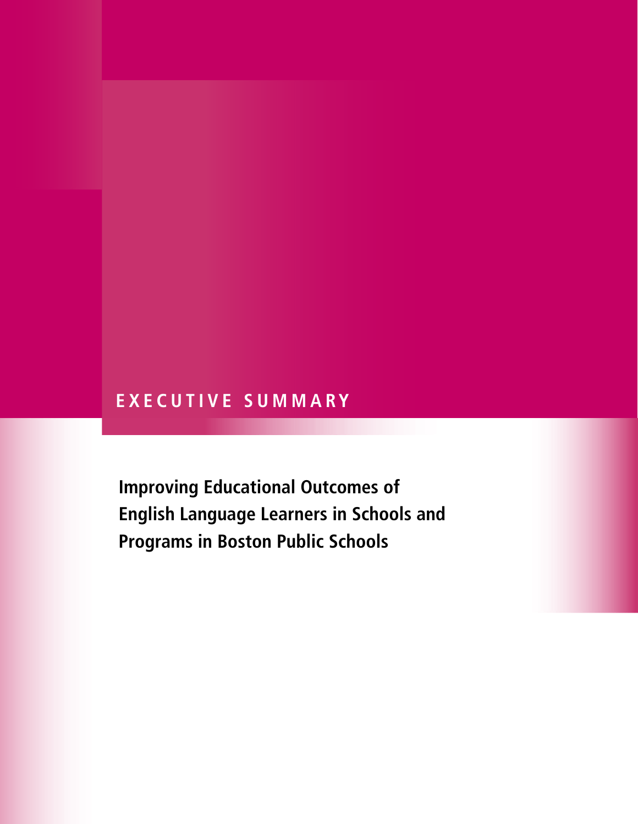# **E X E C U T I V E S U M M A R Y**

**Improving Educational Outcomes of English Language Learners in Schools and Programs in Boston Public Schools**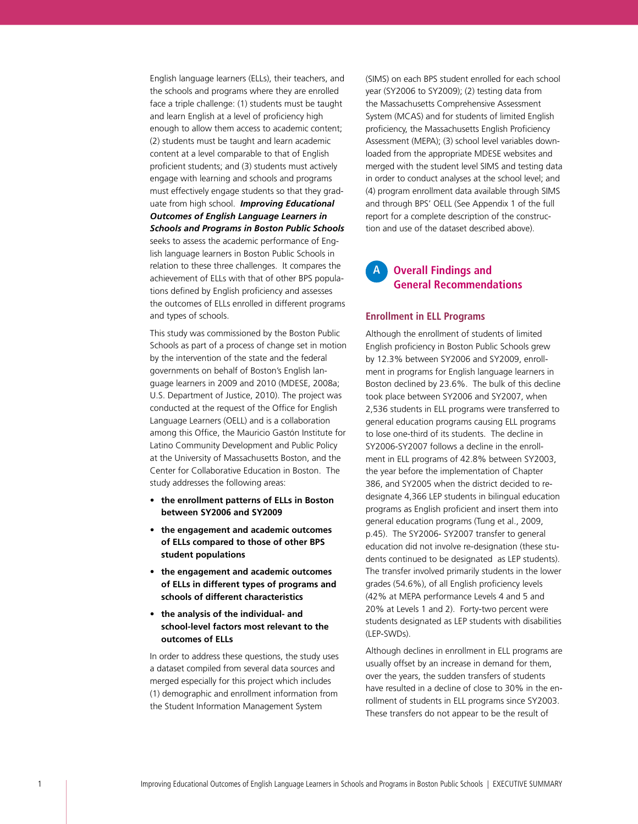English language learners (ELLs), their teachers, and the schools and programs where they are enrolled face a triple challenge: (1) students must be taught and learn English at a level of proficiency high enough to allow them access to academic content; (2) students must be taught and learn academic content at a level comparable to that of English proficient students; and (3) students must actively engage with learning and schools and programs must effectively engage students so that they graduate from high school. *Improving Educational Outcomes of English Language Learners in Schools and Programs in Boston Public Schools* seeks to assess the academic performance of English language learners in Boston Public Schools in relation to these three challenges. It compares the achievement of ELLs with that of other BPS populations defined by English proficiency and assesses the outcomes of ELLs enrolled in different programs and types of schools.

This study was commissioned by the Boston Public Schools as part of a process of change set in motion by the intervention of the state and the federal governments on behalf of Boston's English language learners in 2009 and 2010 (MDESE, 2008a; U.S. Department of Justice, 2010). The project was conducted at the request of the Office for English Language Learners (OELL) and is a collaboration among this Office, the Mauricio Gastón Institute for Latino Community Development and Public Policy at the University of Massachusetts Boston, and the Center for Collaborative Education in Boston. The study addresses the following areas:

- **• the enrollment patterns of ELLs in Boston between SY2006 and SY2009**
- **• the engagement and academic outcomes of ELLs compared to those of other BPS student populations**
- **• the engagement and academic outcomes of ELLs in different types of programs and schools of different characteristics**
- **• the analysis of the individual- and school-level factors most relevant to the outcomes of ELLs**

In order to address these questions, the study uses a dataset compiled from several data sources and merged especially for this project which includes (1) demographic and enrollment information from the Student Information Management System

(SIMS) on each BPS student enrolled for each school year (SY2006 to SY2009); (2) testing data from the Massachusetts Comprehensive Assessment System (MCAS) and for students of limited English proficiency, the Massachusetts English Proficiency Assessment (MEPA); (3) school level variables downloaded from the appropriate MDESE websites and merged with the student level SIMS and testing data in order to conduct analyses at the school level; and (4) program enrollment data available through SIMS and through BPS' OELL (See Appendix 1 of the full report for a complete description of the construction and use of the dataset described above).

# **A Overall Findings and General Recommendations**

### **Enrollment in ELL Programs**

Although the enrollment of students of limited English proficiency in Boston Public Schools grew by 12.3% between SY2006 and SY2009, enrollment in programs for English language learners in Boston declined by 23.6%. The bulk of this decline took place between SY2006 and SY2007, when 2,536 students in ELL programs were transferred to general education programs causing ELL programs to lose one-third of its students. The decline in SY2006-SY2007 follows a decline in the enrollment in ELL programs of 42.8% between SY2003, the year before the implementation of Chapter 386, and SY2005 when the district decided to redesignate 4,366 LEP students in bilingual education programs as English proficient and insert them into general education programs (Tung et al., 2009, p.45). The SY2006- SY2007 transfer to general education did not involve re-designation (these students continued to be designated as LEP students). The transfer involved primarily students in the lower grades (54.6%), of all English proficiency levels (42% at MEPA performance Levels 4 and 5 and 20% at Levels 1 and 2). Forty-two percent were students designated as LEP students with disabilities (LEP-SWDs).

Although declines in enrollment in ELL programs are usually offset by an increase in demand for them, over the years, the sudden transfers of students have resulted in a decline of close to 30% in the enrollment of students in ELL programs since SY2003. These transfers do not appear to be the result of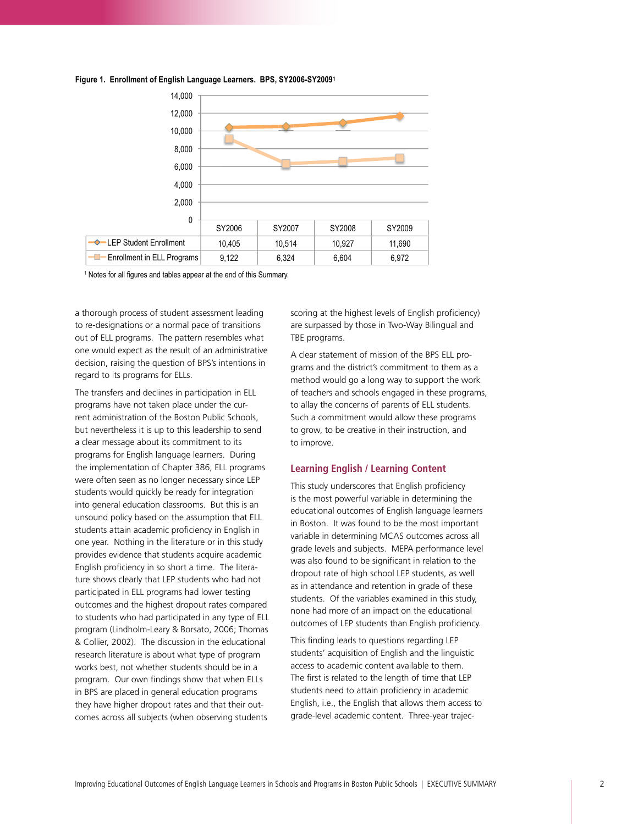

#### **Figure 1. Enrollment of English Language Learners. BPS, SY2006-SY20091**

<sup>1</sup> Notes for all figures and tables appear at the end of this Summary.

a thorough process of student assessment leading to re-designations or a normal pace of transitions out of ELL programs. The pattern resembles what one would expect as the result of an administrative decision, raising the question of BPS's intentions in regard to its programs for ELLs.

The transfers and declines in participation in ELL programs have not taken place under the current administration of the Boston Public Schools, but nevertheless it is up to this leadership to send a clear message about its commitment to its programs for English language learners. During the implementation of Chapter 386, ELL programs were often seen as no longer necessary since LEP students would quickly be ready for integration into general education classrooms. But this is an unsound policy based on the assumption that ELL students attain academic proficiency in English in one year. Nothing in the literature or in this study provides evidence that students acquire academic English proficiency in so short a time. The literature shows clearly that LEP students who had not participated in ELL programs had lower testing outcomes and the highest dropout rates compared to students who had participated in any type of ELL program (Lindholm-Leary & Borsato, 2006; Thomas & Collier, 2002). The discussion in the educational research literature is about what type of program works best, not whether students should be in a program. Our own findings show that when ELLs in BPS are placed in general education programs they have higher dropout rates and that their outcomes across all subjects (when observing students

scoring at the highest levels of English proficiency) are surpassed by those in Two-Way Bilingual and TBE programs.

A clear statement of mission of the BPS ELL programs and the district's commitment to them as a method would go a long way to support the work of teachers and schools engaged in these programs, to allay the concerns of parents of ELL students. Such a commitment would allow these programs to grow, to be creative in their instruction, and to improve.

#### **Learning English / Learning Content**

This study underscores that English proficiency is the most powerful variable in determining the educational outcomes of English language learners in Boston. It was found to be the most important variable in determining MCAS outcomes across all grade levels and subjects. MEPA performance level was also found to be significant in relation to the dropout rate of high school LEP students, as well as in attendance and retention in grade of these students. Of the variables examined in this study, none had more of an impact on the educational outcomes of LEP students than English proficiency.

This finding leads to questions regarding LEP students' acquisition of English and the linguistic access to academic content available to them. The first is related to the length of time that LEP students need to attain proficiency in academic English, i.e., the English that allows them access to grade-level academic content. Three-year trajec-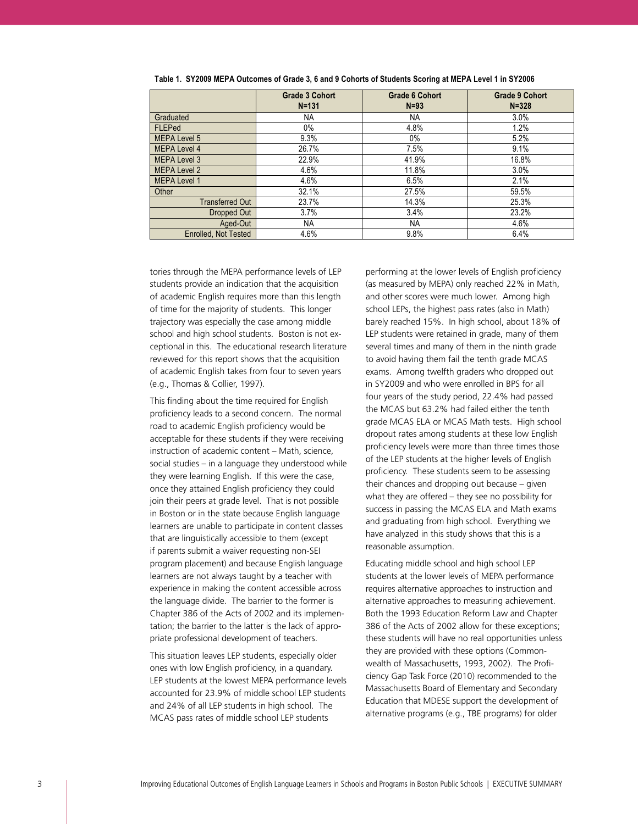|                        | <b>Grade 3 Cohort</b><br>$N = 131$ | <b>Grade 6 Cohort</b><br>$N = 93$ | <b>Grade 9 Cohort</b><br>$N = 328$ |
|------------------------|------------------------------------|-----------------------------------|------------------------------------|
| Graduated              | NA.                                | <b>NA</b>                         | 3.0%                               |
| <b>FLEPed</b>          | $0\%$                              | 4.8%                              | 1.2%                               |
| <b>MEPA Level 5</b>    | 9.3%                               | $0\%$                             | 5.2%                               |
| <b>MEPA Level 4</b>    | 26.7%                              | 7.5%                              | 9.1%                               |
| <b>MEPA Level 3</b>    | 22.9%                              | 41.9%                             | 16.8%                              |
| <b>MEPA Level 2</b>    | 4.6%                               | 11.8%                             | 3.0%                               |
| <b>MEPA Level 1</b>    | 4.6%                               | 6.5%                              | 2.1%                               |
| Other                  | 32.1%                              | 27.5%                             | 59.5%                              |
| <b>Transferred Out</b> | 23.7%                              | 14.3%                             | 25.3%                              |
| Dropped Out            | 3.7%                               | 3.4%                              | 23.2%                              |
| Aged-Out               | NA.                                | NA.                               | 4.6%                               |
| Enrolled, Not Tested   | 4.6%                               | 9.8%                              | 6.4%                               |

| Table 1. SY2009 MEPA Outcomes of Grade 3, 6 and 9 Cohorts of Students Scoring at MEPA Level 1 in SY2006 |
|---------------------------------------------------------------------------------------------------------|
|---------------------------------------------------------------------------------------------------------|

tories through the MEPA performance levels of LEP students provide an indication that the acquisition of academic English requires more than this length of time for the majority of students. This longer trajectory was especially the case among middle school and high school students. Boston is not exceptional in this. The educational research literature reviewed for this report shows that the acquisition of academic English takes from four to seven years (e.g., Thomas & Collier, 1997).

This finding about the time required for English proficiency leads to a second concern. The normal road to academic English proficiency would be acceptable for these students if they were receiving instruction of academic content – Math, science, social studies – in a language they understood while they were learning English. If this were the case, once they attained English proficiency they could join their peers at grade level. That is not possible in Boston or in the state because English language learners are unable to participate in content classes that are linguistically accessible to them (except if parents submit a waiver requesting non-SEI program placement) and because English language learners are not always taught by a teacher with experience in making the content accessible across the language divide. The barrier to the former is Chapter 386 of the Acts of 2002 and its implementation; the barrier to the latter is the lack of appropriate professional development of teachers.

This situation leaves LEP students, especially older ones with low English proficiency, in a quandary. LEP students at the lowest MEPA performance levels accounted for 23.9% of middle school LEP students and 24% of all LEP students in high school. The MCAS pass rates of middle school LEP students

performing at the lower levels of English proficiency (as measured by MEPA) only reached 22% in Math, and other scores were much lower. Among high school LEPs, the highest pass rates (also in Math) barely reached 15%. In high school, about 18% of LEP students were retained in grade, many of them several times and many of them in the ninth grade to avoid having them fail the tenth grade MCAS exams. Among twelfth graders who dropped out in SY2009 and who were enrolled in BPS for all four years of the study period, 22.4% had passed the MCAS but 63.2% had failed either the tenth grade MCAS ELA or MCAS Math tests. High school dropout rates among students at these low English proficiency levels were more than three times those of the LEP students at the higher levels of English proficiency. These students seem to be assessing their chances and dropping out because – given what they are offered – they see no possibility for success in passing the MCAS ELA and Math exams and graduating from high school. Everything we have analyzed in this study shows that this is a reasonable assumption.

Educating middle school and high school LEP students at the lower levels of MEPA performance requires alternative approaches to instruction and alternative approaches to measuring achievement. Both the 1993 Education Reform Law and Chapter 386 of the Acts of 2002 allow for these exceptions; these students will have no real opportunities unless they are provided with these options (Commonwealth of Massachusetts, 1993, 2002). The Proficiency Gap Task Force (2010) recommended to the Massachusetts Board of Elementary and Secondary Education that MDESE support the development of alternative programs (e.g., TBE programs) for older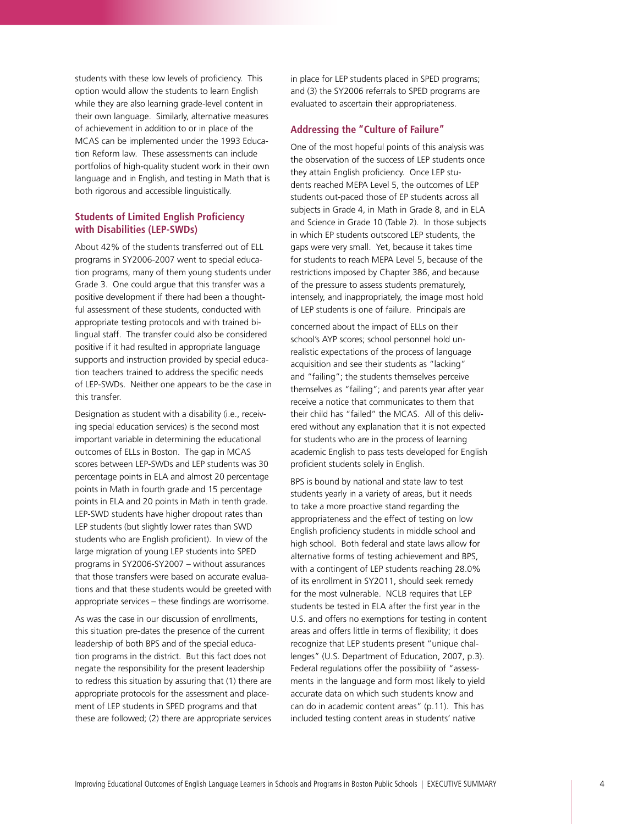students with these low levels of proficiency. This option would allow the students to learn English while they are also learning grade-level content in their own language. Similarly, alternative measures of achievement in addition to or in place of the MCAS can be implemented under the 1993 Education Reform law. These assessments can include portfolios of high-quality student work in their own language and in English, and testing in Math that is both rigorous and accessible linguistically.

## **Students of Limited English Proficiency with Disabilities (LEP-SWDs)**

About 42% of the students transferred out of ELL programs in SY2006-2007 went to special education programs, many of them young students under Grade 3. One could argue that this transfer was a positive development if there had been a thoughtful assessment of these students, conducted with appropriate testing protocols and with trained bilingual staff. The transfer could also be considered positive if it had resulted in appropriate language supports and instruction provided by special education teachers trained to address the specific needs of LEP-SWDs. Neither one appears to be the case in this transfer.

Designation as student with a disability (i.e., receiving special education services) is the second most important variable in determining the educational outcomes of ELLs in Boston. The gap in MCAS scores between LEP-SWDs and LEP students was 30 percentage points in ELA and almost 20 percentage points in Math in fourth grade and 15 percentage points in ELA and 20 points in Math in tenth grade. LEP-SWD students have higher dropout rates than LEP students (but slightly lower rates than SWD students who are English proficient). In view of the large migration of young LEP students into SPED programs in SY2006-SY2007 – without assurances that those transfers were based on accurate evaluations and that these students would be greeted with appropriate services – these findings are worrisome.

As was the case in our discussion of enrollments, this situation pre-dates the presence of the current leadership of both BPS and of the special education programs in the district. But this fact does not negate the responsibility for the present leadership to redress this situation by assuring that (1) there are appropriate protocols for the assessment and placement of LEP students in SPED programs and that these are followed; (2) there are appropriate services

in place for LEP students placed in SPED programs; and (3) the SY2006 referrals to SPED programs are evaluated to ascertain their appropriateness.

### **Addressing the "Culture of Failure"**

One of the most hopeful points of this analysis was the observation of the success of LEP students once they attain English proficiency. Once LEP students reached MEPA Level 5, the outcomes of LEP students out-paced those of EP students across all subjects in Grade 4, in Math in Grade 8, and in ELA and Science in Grade 10 (Table 2). In those subjects in which EP students outscored LEP students, the gaps were very small. Yet, because it takes time for students to reach MEPA Level 5, because of the restrictions imposed by Chapter 386, and because of the pressure to assess students prematurely, intensely, and inappropriately, the image most hold of LEP students is one of failure. Principals are

concerned about the impact of ELLs on their school's AYP scores; school personnel hold unrealistic expectations of the process of language acquisition and see their students as "lacking" and "failing"; the students themselves perceive themselves as "failing"; and parents year after year receive a notice that communicates to them that their child has "failed" the MCAS. All of this delivered without any explanation that it is not expected for students who are in the process of learning academic English to pass tests developed for English proficient students solely in English.

BPS is bound by national and state law to test students yearly in a variety of areas, but it needs to take a more proactive stand regarding the appropriateness and the effect of testing on low English proficiency students in middle school and high school. Both federal and state laws allow for alternative forms of testing achievement and BPS, with a contingent of LEP students reaching 28.0% of its enrollment in SY2011, should seek remedy for the most vulnerable. NCLB requires that LEP students be tested in ELA after the first year in the U.S. and offers no exemptions for testing in content areas and offers little in terms of flexibility; it does recognize that LEP students present "unique challenges" (U.S. Department of Education, 2007, p.3). Federal regulations offer the possibility of "assessments in the language and form most likely to yield accurate data on which such students know and can do in academic content areas" (p.11). This has included testing content areas in students' native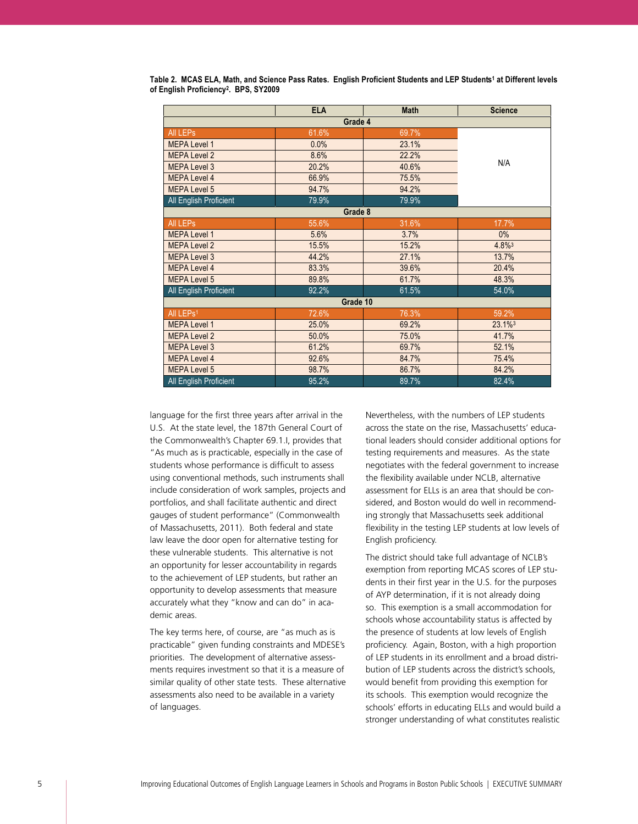|                        | <b>ELA</b> | <b>Math</b> | <b>Science</b> |  |  |  |
|------------------------|------------|-------------|----------------|--|--|--|
|                        | Grade 4    |             |                |  |  |  |
| <b>AII LEPS</b>        | 61.6%      | 69.7%       |                |  |  |  |
| <b>MEPA Level 1</b>    | 0.0%       | 23.1%       |                |  |  |  |
| <b>MEPA Level 2</b>    | 8.6%       | 22.2%       |                |  |  |  |
| <b>MEPA Level 3</b>    | 20.2%      | 40.6%       | N/A            |  |  |  |
| <b>MEPA Level 4</b>    | 66.9%      | 75.5%       |                |  |  |  |
| <b>MEPA Level 5</b>    | 94.7%      | 94.2%       |                |  |  |  |
| All English Proficient | 79.9%      | 79.9%       |                |  |  |  |
| Grade 8                |            |             |                |  |  |  |
| <b>All LEPs</b>        | 55.6%      | 31.6%       | 17.7%          |  |  |  |
| <b>MEPA Level 1</b>    | 5.6%       | 3.7%        | $0\%$          |  |  |  |
| <b>MEPA Level 2</b>    | 15.5%      | 15.2%       | 4.8%3          |  |  |  |
| <b>MEPA Level 3</b>    | 44.2%      | 27.1%       | 13.7%          |  |  |  |
| <b>MEPA Level 4</b>    | 83.3%      | 39.6%       | 20.4%          |  |  |  |
| <b>MEPA Level 5</b>    | 89.8%      | 61.7%       | 48.3%          |  |  |  |
| All English Proficient | 92.2%      | 61.5%       | 54.0%          |  |  |  |
| Grade 10               |            |             |                |  |  |  |
| All LEPs <sup>1</sup>  | 72.6%      | 76.3%       | 59.2%          |  |  |  |
| <b>MEPA Level 1</b>    | 25.0%      | 69.2%       | 23.1%3         |  |  |  |
| <b>MEPA Level 2</b>    | 50.0%      | 75.0%       | 41.7%          |  |  |  |
| <b>MEPA Level 3</b>    | 61.2%      | 69.7%       | 52.1%          |  |  |  |
| <b>MEPA Level 4</b>    | 92.6%      | 84.7%       | 75.4%          |  |  |  |
| <b>MEPA Level 5</b>    | 98.7%      | 86.7%       | 84.2%          |  |  |  |
| All English Proficient | 95.2%      | 89.7%       | 82.4%          |  |  |  |

**Table 2. MCAS ELA, Math, and Science Pass Rates. English Proficient Students and LEP Students1 at Different levels of English Proficiency2. BPS, SY2009**

language for the first three years after arrival in the U.S. At the state level, the 187th General Court of the Commonwealth's Chapter 69.1.I, provides that "As much as is practicable, especially in the case of students whose performance is difficult to assess using conventional methods, such instruments shall include consideration of work samples, projects and portfolios, and shall facilitate authentic and direct gauges of student performance" (Commonwealth of Massachusetts, 2011). Both federal and state law leave the door open for alternative testing for these vulnerable students. This alternative is not an opportunity for lesser accountability in regards to the achievement of LEP students, but rather an opportunity to develop assessments that measure accurately what they "know and can do" in academic areas.

The key terms here, of course, are "as much as is practicable" given funding constraints and MDESE's priorities. The development of alternative assessments requires investment so that it is a measure of similar quality of other state tests. These alternative assessments also need to be available in a variety of languages.

Nevertheless, with the numbers of LEP students across the state on the rise, Massachusetts' educational leaders should consider additional options for testing requirements and measures. As the state negotiates with the federal government to increase the flexibility available under NCLB, alternative assessment for ELLs is an area that should be considered, and Boston would do well in recommending strongly that Massachusetts seek additional flexibility in the testing LEP students at low levels of English proficiency.

The district should take full advantage of NCLB's exemption from reporting MCAS scores of LEP students in their first year in the U.S. for the purposes of AYP determination, if it is not already doing so. This exemption is a small accommodation for schools whose accountability status is affected by the presence of students at low levels of English proficiency. Again, Boston, with a high proportion of LEP students in its enrollment and a broad distribution of LEP students across the district's schools, would benefit from providing this exemption for its schools. This exemption would recognize the schools' efforts in educating ELLs and would build a stronger understanding of what constitutes realistic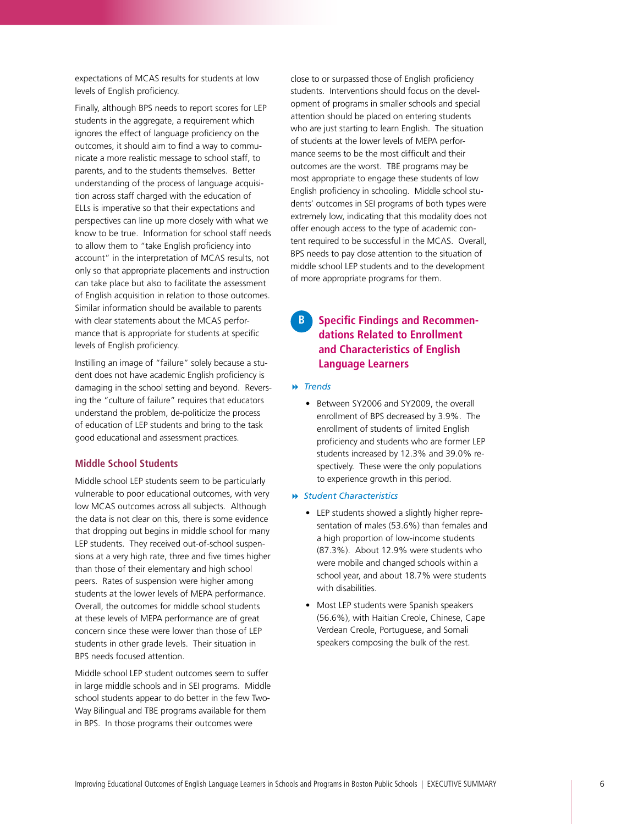expectations of MCAS results for students at low levels of English proficiency.

Finally, although BPS needs to report scores for LEP students in the aggregate, a requirement which ignores the effect of language proficiency on the outcomes, it should aim to find a way to communicate a more realistic message to school staff, to parents, and to the students themselves. Better understanding of the process of language acquisition across staff charged with the education of ELLs is imperative so that their expectations and perspectives can line up more closely with what we know to be true. Information for school staff needs to allow them to "take English proficiency into account" in the interpretation of MCAS results, not only so that appropriate placements and instruction can take place but also to facilitate the assessment of English acquisition in relation to those outcomes. Similar information should be available to parents with clear statements about the MCAS performance that is appropriate for students at specific levels of English proficiency.

Instilling an image of "failure" solely because a student does not have academic English proficiency is damaging in the school setting and beyond. Reversing the "culture of failure" requires that educators understand the problem, de-politicize the process of education of LEP students and bring to the task good educational and assessment practices.

### **Middle School Students**

Middle school LEP students seem to be particularly vulnerable to poor educational outcomes, with very low MCAS outcomes across all subjects. Although the data is not clear on this, there is some evidence that dropping out begins in middle school for many LEP students. They received out-of-school suspensions at a very high rate, three and five times higher than those of their elementary and high school peers. Rates of suspension were higher among students at the lower levels of MEPA performance. Overall, the outcomes for middle school students at these levels of MEPA performance are of great concern since these were lower than those of LEP students in other grade levels. Their situation in BPS needs focused attention.

Middle school LEP student outcomes seem to suffer in large middle schools and in SEI programs. Middle school students appear to do better in the few Two-Way Bilingual and TBE programs available for them in BPS. In those programs their outcomes were

close to or surpassed those of English proficiency students. Interventions should focus on the development of programs in smaller schools and special attention should be placed on entering students who are just starting to learn English. The situation of students at the lower levels of MEPA performance seems to be the most difficult and their outcomes are the worst. TBE programs may be most appropriate to engage these students of low English proficiency in schooling. Middle school students' outcomes in SEI programs of both types were extremely low, indicating that this modality does not offer enough access to the type of academic content required to be successful in the MCAS. Overall, BPS needs to pay close attention to the situation of middle school LEP students and to the development of more appropriate programs for them.

# **B** Specific Findings and Recommen**dations Related to Enrollment and Characteristics of English Language Learners**

#### 8 *Trends*

- Between SY2006 and SY2009, the overall enrollment of BPS decreased by 3.9%. The enrollment of students of limited English proficiency and students who are former LEP students increased by 12.3% and 39.0% respectively. These were the only populations to experience growth in this period.
- 8 *Student Characteristics*
	- LEP students showed a slightly higher representation of males (53.6%) than females and a high proportion of low-income students (87.3%). About 12.9% were students who were mobile and changed schools within a school year, and about 18.7% were students with disabilities.
	- Most LEP students were Spanish speakers (56.6%), with Haitian Creole, Chinese, Cape Verdean Creole, Portuguese, and Somali speakers composing the bulk of the rest.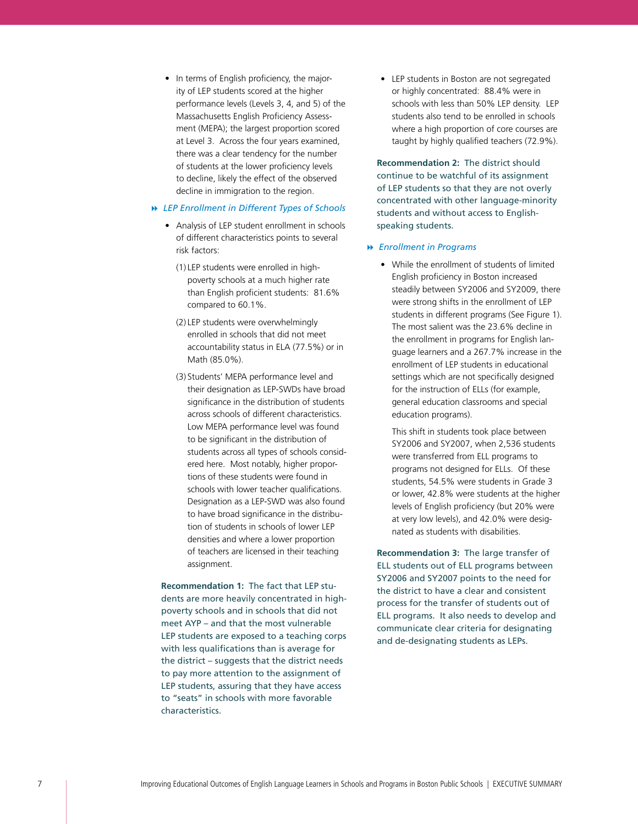• In terms of English proficiency, the majority of LEP students scored at the higher performance levels (Levels 3, 4, and 5) of the Massachusetts English Proficiency Assessment (MEPA); the largest proportion scored at Level 3. Across the four years examined, there was a clear tendency for the number of students at the lower proficiency levels to decline, likely the effect of the observed decline in immigration to the region.

### 8 *LEP Enrollment in Different Types of Schools*

- Analysis of LEP student enrollment in schools of different characteristics points to several risk factors:
	- (1) LEP students were enrolled in highpoverty schools at a much higher rate than English proficient students: 81.6% compared to 60.1%.
	- (2) LEP students were overwhelmingly enrolled in schools that did not meet accountability status in ELA (77.5%) or in Math (85.0%).
	- (3) Students' MEPA performance level and their designation as LEP-SWDs have broad significance in the distribution of students across schools of different characteristics. Low MEPA performance level was found to be significant in the distribution of students across all types of schools considered here. Most notably, higher proportions of these students were found in schools with lower teacher qualifications. Designation as a LEP-SWD was also found to have broad significance in the distribution of students in schools of lower LEP densities and where a lower proportion of teachers are licensed in their teaching assignment.

**Recommendation 1:** The fact that LEP students are more heavily concentrated in highpoverty schools and in schools that did not meet AYP – and that the most vulnerable LEP students are exposed to a teaching corps with less qualifications than is average for the district – suggests that the district needs to pay more attention to the assignment of LEP students, assuring that they have access to "seats" in schools with more favorable characteristics.

• LEP students in Boston are not segregated or highly concentrated: 88.4% were in schools with less than 50% LEP density. LEP students also tend to be enrolled in schools where a high proportion of core courses are taught by highly qualified teachers (72.9%).

**Recommendation 2:** The district should continue to be watchful of its assignment of LEP students so that they are not overly concentrated with other language-minority students and without access to Englishspeaking students.

#### 8 *Enrollment in Programs*

• While the enrollment of students of limited English proficiency in Boston increased steadily between SY2006 and SY2009, there were strong shifts in the enrollment of LEP students in different programs (See Figure 1). The most salient was the 23.6% decline in the enrollment in programs for English language learners and a 267.7% increase in the enrollment of LEP students in educational settings which are not specifically designed for the instruction of ELLs (for example, general education classrooms and special education programs).

This shift in students took place between SY2006 and SY2007, when 2,536 students were transferred from ELL programs to programs not designed for ELLs. Of these students, 54.5% were students in Grade 3 or lower, 42.8% were students at the higher levels of English proficiency (but 20% were at very low levels), and 42.0% were designated as students with disabilities.

**Recommendation 3:** The large transfer of ELL students out of ELL programs between SY2006 and SY2007 points to the need for the district to have a clear and consistent process for the transfer of students out of ELL programs. It also needs to develop and communicate clear criteria for designating and de-designating students as LEPs.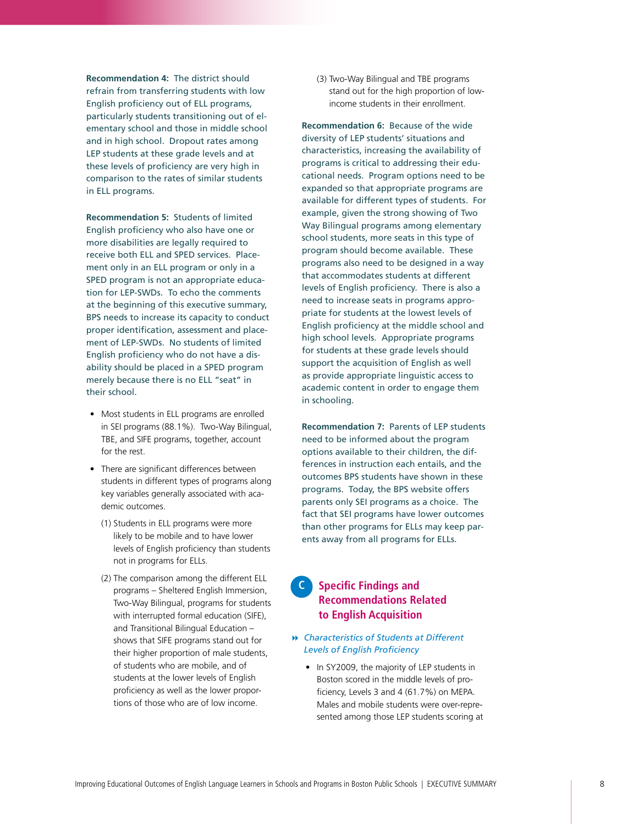**Recommendation 4:** The district should refrain from transferring students with low English proficiency out of ELL programs, particularly students transitioning out of elementary school and those in middle school and in high school. Dropout rates among LEP students at these grade levels and at these levels of proficiency are very high in comparison to the rates of similar students in ELL programs.

**Recommendation 5:** Students of limited English proficiency who also have one or more disabilities are legally required to receive both ELL and SPED services. Placement only in an ELL program or only in a SPED program is not an appropriate education for LEP-SWDs. To echo the comments at the beginning of this executive summary, BPS needs to increase its capacity to conduct proper identification, assessment and placement of LEP-SWDs. No students of limited English proficiency who do not have a disability should be placed in a SPED program merely because there is no ELL "seat" in their school.

- Most students in ELL programs are enrolled in SEI programs (88.1%). Two-Way Bilingual, TBE, and SIFE programs, together, account for the rest.
- There are significant differences between students in different types of programs along key variables generally associated with academic outcomes.
	- (1) Students in ELL programs were more likely to be mobile and to have lower levels of English proficiency than students not in programs for ELLs.
	- (2) The comparison among the different ELL programs – Sheltered English Immersion, Two-Way Bilingual, programs for students with interrupted formal education (SIFE), and Transitional Bilingual Education – shows that SIFE programs stand out for their higher proportion of male students, of students who are mobile, and of students at the lower levels of English proficiency as well as the lower proportions of those who are of low income.

(3) Two-Way Bilingual and TBE programs stand out for the high proportion of lowincome students in their enrollment.

**Recommendation 6:** Because of the wide diversity of LEP students' situations and characteristics, increasing the availability of programs is critical to addressing their educational needs. Program options need to be expanded so that appropriate programs are available for different types of students. For example, given the strong showing of Two Way Bilingual programs among elementary school students, more seats in this type of program should become available. These programs also need to be designed in a way that accommodates students at different levels of English proficiency. There is also a need to increase seats in programs appropriate for students at the lowest levels of English proficiency at the middle school and high school levels. Appropriate programs for students at these grade levels should support the acquisition of English as well as provide appropriate linguistic access to academic content in order to engage them in schooling.

**Recommendation 7:** Parents of LEP students need to be informed about the program options available to their children, the differences in instruction each entails, and the outcomes BPS students have shown in these programs. Today, the BPS website offers parents only SEI programs as a choice. The fact that SEI programs have lower outcomes than other programs for ELLs may keep parents away from all programs for ELLs.

# **C Specific Findings and Recommendations Related to English Acquisition**

8 *Characteristics of Students at Different Levels of English Proficiency* 

• In SY2009, the majority of LEP students in Boston scored in the middle levels of proficiency, Levels 3 and 4 (61.7%) on MEPA. Males and mobile students were over-represented among those LEP students scoring at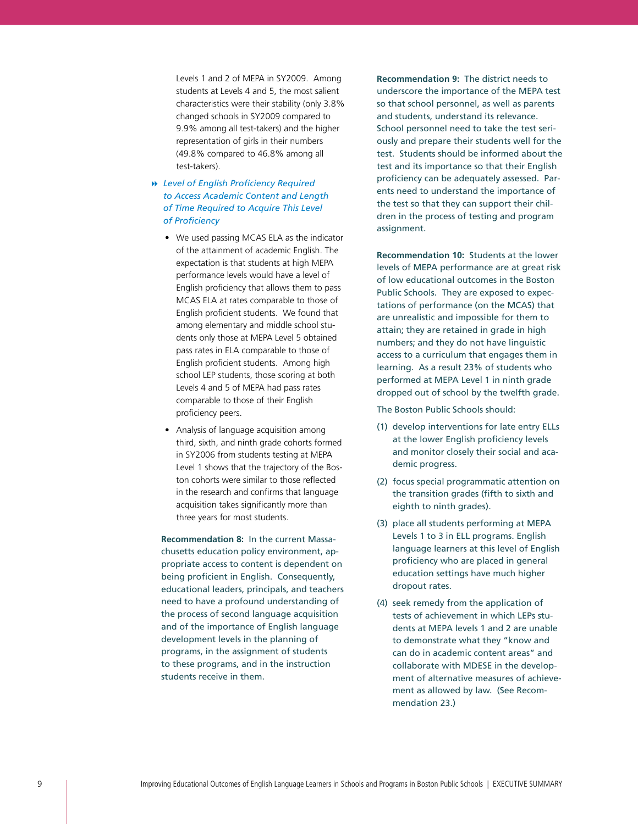Levels 1 and 2 of MEPA in SY2009. Among students at Levels 4 and 5, the most salient characteristics were their stability (only 3.8% changed schools in SY2009 compared to 9.9% among all test-takers) and the higher representation of girls in their numbers (49.8% compared to 46.8% among all test-takers).

# 8 *Level of English Proficiency Required to Access Academic Content and Length of Time Required to Acquire This Level of Proficiency*

- We used passing MCAS ELA as the indicator of the attainment of academic English. The expectation is that students at high MEPA performance levels would have a level of English proficiency that allows them to pass MCAS ELA at rates comparable to those of English proficient students. We found that among elementary and middle school students only those at MEPA Level 5 obtained pass rates in ELA comparable to those of English proficient students. Among high school LEP students, those scoring at both Levels 4 and 5 of MEPA had pass rates comparable to those of their English proficiency peers.
- • Analysis of language acquisition among third, sixth, and ninth grade cohorts formed in SY2006 from students testing at MEPA Level 1 shows that the trajectory of the Boston cohorts were similar to those reflected in the research and confirms that language acquisition takes significantly more than three years for most students.

**Recommendation 8:** In the current Massachusetts education policy environment, appropriate access to content is dependent on being proficient in English. Consequently, educational leaders, principals, and teachers need to have a profound understanding of the process of second language acquisition and of the importance of English language development levels in the planning of programs, in the assignment of students to these programs, and in the instruction students receive in them.

**Recommendation 9:** The district needs to underscore the importance of the MEPA test so that school personnel, as well as parents and students, understand its relevance. School personnel need to take the test seriously and prepare their students well for the test. Students should be informed about the test and its importance so that their English proficiency can be adequately assessed. Parents need to understand the importance of the test so that they can support their children in the process of testing and program assignment.

**Recommendation 10:** Students at the lower levels of MEPA performance are at great risk of low educational outcomes in the Boston Public Schools. They are exposed to expectations of performance (on the MCAS) that are unrealistic and impossible for them to attain; they are retained in grade in high numbers; and they do not have linguistic access to a curriculum that engages them in learning. As a result 23% of students who performed at MEPA Level 1 in ninth grade dropped out of school by the twelfth grade.

The Boston Public Schools should:

- (1) develop interventions for late entry ELLs at the lower English proficiency levels and monitor closely their social and academic progress.
- (2) focus special programmatic attention on the transition grades (fifth to sixth and eighth to ninth grades).
- (3) place all students performing at MEPA Levels 1 to 3 in ELL programs. English language learners at this level of English proficiency who are placed in general education settings have much higher dropout rates.
- (4) seek remedy from the application of tests of achievement in which LEPs students at MEPA levels 1 and 2 are unable to demonstrate what they "know and can do in academic content areas" and collaborate with MDESE in the development of alternative measures of achievement as allowed by law. (See Recommendation 23.)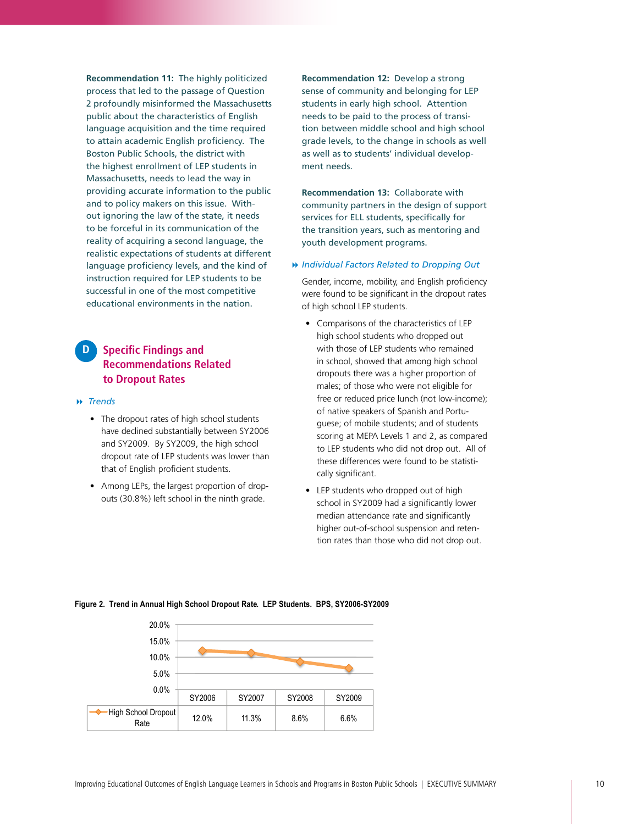**Recommendation 11:** The highly politicized process that led to the passage of Question 2 profoundly misinformed the Massachusetts public about the characteristics of English language acquisition and the time required to attain academic English proficiency. The Boston Public Schools, the district with the highest enrollment of LEP students in Massachusetts, needs to lead the way in providing accurate information to the public and to policy makers on this issue. Without ignoring the law of the state, it needs to be forceful in its communication of the reality of acquiring a second language, the realistic expectations of students at different language proficiency levels, and the kind of instruction required for LEP students to be successful in one of the most competitive educational environments in the nation.

# **D Specific Findings and Recommendations Related to Dropout Rates**

- 8 *Trends*
	- The dropout rates of high school students have declined substantially between SY2006 and SY2009. By SY2009, the high school dropout rate of LEP students was lower than that of English proficient students.
	- Among LEPs, the largest proportion of dropouts (30.8%) left school in the ninth grade.

**Recommendation 12:** Develop a strong sense of community and belonging for LEP students in early high school. Attention needs to be paid to the process of transition between middle school and high school grade levels, to the change in schools as well as well as to students' individual development needs.

**Recommendation 13:** Collaborate with community partners in the design of support services for ELL students, specifically for the transition years, such as mentoring and youth development programs.

8 *Individual Factors Related to Dropping Out*

Gender, income, mobility, and English proficiency were found to be significant in the dropout rates of high school LEP students.

- • Comparisons of the characteristics of LEP high school students who dropped out with those of LEP students who remained in school, showed that among high school dropouts there was a higher proportion of males; of those who were not eligible for free or reduced price lunch (not low-income); of native speakers of Spanish and Portuguese; of mobile students; and of students scoring at MEPA Levels 1 and 2, as compared to LEP students who did not drop out. All of these differences were found to be statistically significant.
- LEP students who dropped out of high school in SY2009 had a significantly lower median attendance rate and significantly higher out-of-school suspension and retention rates than those who did not drop out.

| 20.0%                       |        |        |        |        |
|-----------------------------|--------|--------|--------|--------|
| 15.0%                       |        |        |        |        |
| 10.0%                       |        |        |        |        |
| 5.0%                        |        |        |        |        |
| 0.0%                        |        |        |        |        |
|                             | SY2006 | SY2007 | SY2008 | SY2009 |
| High School Dropout<br>Rate | 12.0%  | 11.3%  | 8.6%   | 6.6%   |

#### **Figure 2. Trend in Annual High School Dropout Rate. LEP Students. BPS, SY2006-SY2009**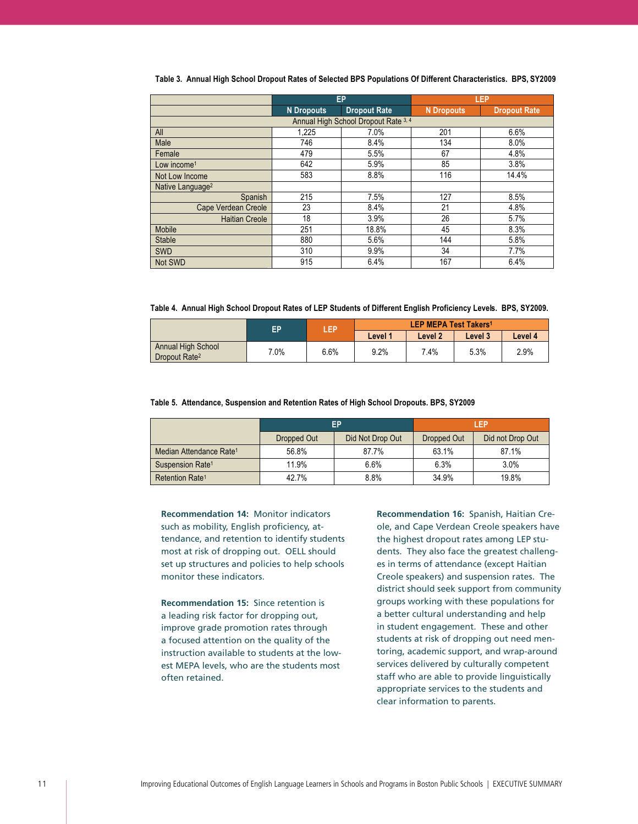|                                      | <b>EP</b>         |                     | <b>LEP</b>        |                     |  |  |
|--------------------------------------|-------------------|---------------------|-------------------|---------------------|--|--|
|                                      | <b>N</b> Dropouts | <b>Dropout Rate</b> | <b>N</b> Dropouts | <b>Dropout Rate</b> |  |  |
| Annual High School Dropout Rate 3, 4 |                   |                     |                   |                     |  |  |
| All                                  | 1,225             | 7.0%                | 201               | 6.6%                |  |  |
| Male                                 | 746               | 8.4%                | 134               | 8.0%                |  |  |
| Female                               | 479               | 5.5%                | 67                | 4.8%                |  |  |
| Low income <sup>1</sup>              | 642               | 5.9%                | 85                | 3.8%                |  |  |
| Not Low Income                       | 583               | 8.8%                | 116               | 14.4%               |  |  |
| Native Language <sup>2</sup>         |                   |                     |                   |                     |  |  |
| Spanish                              | 215               | 7.5%                | 127               | 8.5%                |  |  |
| Cape Verdean Creole                  | 23                | 8.4%                | 21                | 4.8%                |  |  |
| <b>Haitian Creole</b>                | 18                | 3.9%                | 26                | 5.7%                |  |  |
| <b>Mobile</b>                        | 251               | 18.8%               | 45                | 8.3%                |  |  |
| <b>Stable</b>                        | 880               | 5.6%                | 144               | 5.8%                |  |  |
| <b>SWD</b>                           | 310               | 9.9%                | 34                | 7.7%                |  |  |
| Not SWD                              | 915               | 6.4%                | 167               | 6.4%                |  |  |

**Table 3. Annual High School Dropout Rates of Selected BPS Populations Of Different Characteristics. BPS, SY2009** 

**Table 4. Annual High School Dropout Rates of LEP Students of Different English Proficiency Levels. BPS, SY2009.**

|                                                 | EР     | ÆP   |                    | <b>LEP MEPA Test Takers<sup>1</sup></b> |         |         |
|-------------------------------------------------|--------|------|--------------------|-----------------------------------------|---------|---------|
|                                                 |        |      | Level <sup>4</sup> | Level 2                                 | Level 3 | Level 4 |
| Annual High School<br>Dropout Rate <sup>2</sup> | $.0\%$ | 6.6% | $9.2\%$            | 7.4%                                    | 5.3%    | 2.9%    |

#### **Table 5. Attendance, Suspension and Retention Rates of High School Dropouts. BPS, SY2009**

|                                     | EP          |                  | LEP         |                  |  |
|-------------------------------------|-------------|------------------|-------------|------------------|--|
|                                     | Dropped Out | Did Not Drop Out | Dropped Out | Did not Drop Out |  |
| Median Attendance Rate <sup>1</sup> | 56.8%       | 87.7%            | 63.1%       | 87.1%            |  |
| Suspension Rate <sup>1</sup>        | 11.9%       | 6.6%             | 6.3%        | $3.0\%$          |  |
| Retention Rate <sup>1</sup>         | 42.7%       | 8.8%             | 34.9%       | 19.8%            |  |

**Recommendation 14:** Monitor indicators such as mobility, English proficiency, attendance, and retention to identify students most at risk of dropping out. OELL should set up structures and policies to help schools monitor these indicators.

**Recommendation 15:** Since retention is a leading risk factor for dropping out, improve grade promotion rates through a focused attention on the quality of the instruction available to students at the lowest MEPA levels, who are the students most often retained.

**Recommendation 16:** Spanish, Haitian Creole, and Cape Verdean Creole speakers have the highest dropout rates among LEP students. They also face the greatest challenges in terms of attendance (except Haitian Creole speakers) and suspension rates. The district should seek support from community groups working with these populations for a better cultural understanding and help in student engagement. These and other students at risk of dropping out need mentoring, academic support, and wrap-around services delivered by culturally competent staff who are able to provide linguistically appropriate services to the students and clear information to parents.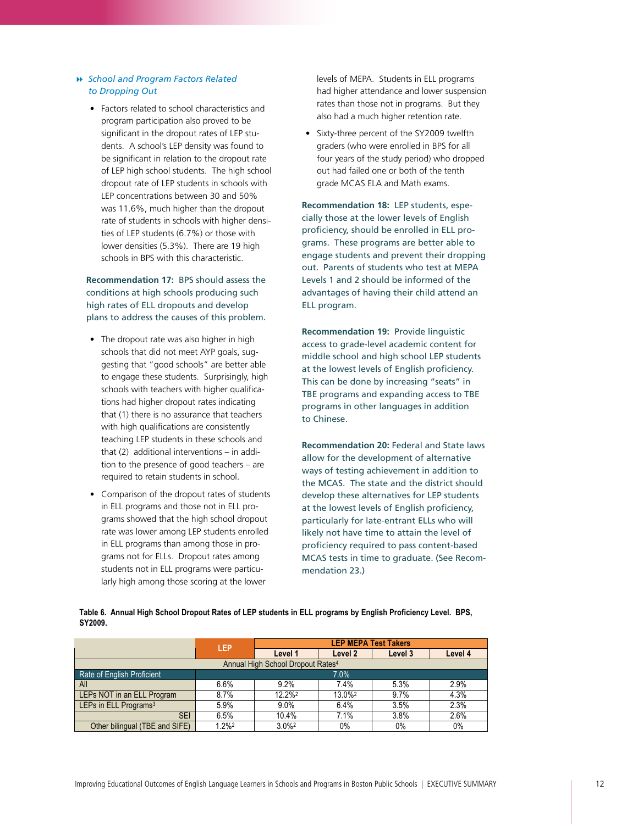## 8 *School and Program Factors Related to Dropping Out*

• Factors related to school characteristics and program participation also proved to be significant in the dropout rates of LEP students. A school's LEP density was found to be significant in relation to the dropout rate of LEP high school students. The high school dropout rate of LEP students in schools with LEP concentrations between 30 and 50% was 11.6%, much higher than the dropout rate of students in schools with higher densities of LEP students (6.7%) or those with lower densities (5.3%). There are 19 high schools in BPS with this characteristic.

**Recommendation 17:** BPS should assess the conditions at high schools producing such high rates of ELL dropouts and develop plans to address the causes of this problem.

- The dropout rate was also higher in high schools that did not meet AYP goals, suggesting that "good schools" are better able to engage these students. Surprisingly, high schools with teachers with higher qualifications had higher dropout rates indicating that (1) there is no assurance that teachers with high qualifications are consistently teaching LEP students in these schools and that (2) additional interventions – in addition to the presence of good teachers – are required to retain students in school.
- Comparison of the dropout rates of students in ELL programs and those not in ELL programs showed that the high school dropout rate was lower among LEP students enrolled in ELL programs than among those in programs not for ELLs. Dropout rates among students not in ELL programs were particularly high among those scoring at the lower

levels of MEPA. Students in ELL programs had higher attendance and lower suspension rates than those not in programs. But they also had a much higher retention rate.

• Sixty-three percent of the SY2009 twelfth graders (who were enrolled in BPS for all four years of the study period) who dropped out had failed one or both of the tenth grade MCAS ELA and Math exams.

**Recommendation 18:** LEP students, especially those at the lower levels of English proficiency, should be enrolled in ELL programs. These programs are better able to engage students and prevent their dropping out. Parents of students who test at MEPA Levels 1 and 2 should be informed of the advantages of having their child attend an ELL program.

**Recommendation 19:** Provide linguistic access to grade-level academic content for middle school and high school LEP students at the lowest levels of English proficiency. This can be done by increasing "seats" in TBE programs and expanding access to TBE programs in other languages in addition to Chinese.

**Recommendation 20:** Federal and State laws allow for the development of alternative ways of testing achievement in addition to the MCAS. The state and the district should develop these alternatives for LEP students at the lowest levels of English proficiency, particularly for late-entrant ELLs who will likely not have time to attain the level of proficiency required to pass content-based MCAS tests in time to graduate. (See Recommendation 23.)

**Table 6. Annual High School Dropout Rates of LEP students in ELL programs by English Proficiency Level. BPS, SY2009.**

|                                               | <b>LEP</b> | <b>LEP MEPA Test Takers</b> |                    |         |         |  |
|-----------------------------------------------|------------|-----------------------------|--------------------|---------|---------|--|
|                                               |            | Level 1                     | Level 2            | Level 3 | Level 4 |  |
| Annual High School Dropout Rates <sup>4</sup> |            |                             |                    |         |         |  |
| Rate of English Proficient                    |            |                             | 7.0%               |         |         |  |
| All                                           | 6.6%       | 9.2%                        | 7.4%               | 5.3%    | 2.9%    |  |
| LEPs NOT in an ELL Program                    | 8.7%       | 12.2%2                      | 13.0% <sup>2</sup> | 9.7%    | 4.3%    |  |
| LEPs in ELL Programs <sup>3</sup>             | 5.9%       | 9.0%                        | 6.4%               | 3.5%    | 2.3%    |  |
| <b>SEI</b>                                    | 6.5%       | 10.4%                       | 7.1%               | 3.8%    | 2.6%    |  |
| Other bilingual (TBE and SIFE)                | $1.2%^{2}$ | $3.0\%$ <sup>2</sup>        | $0\%$              | $0\%$   | 0%      |  |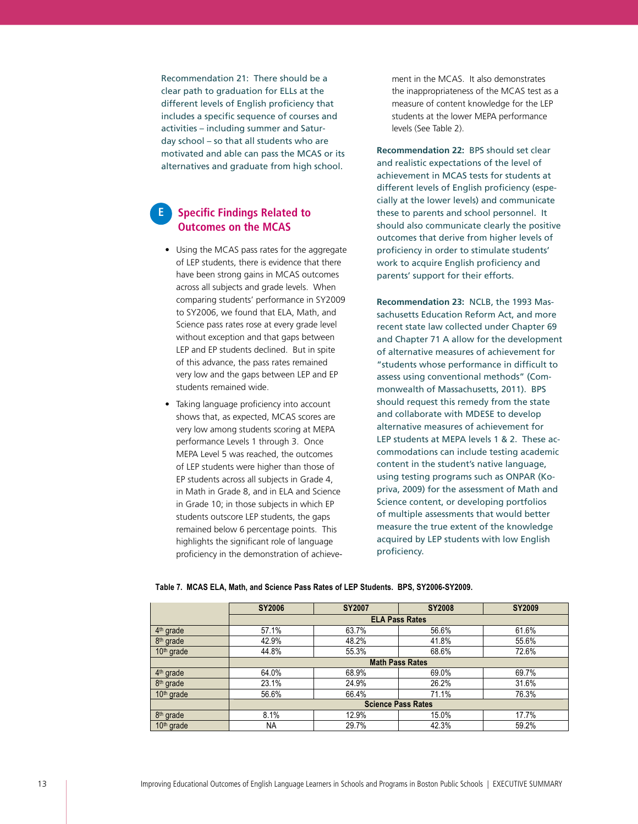Recommendation 21: There should be a clear path to graduation for ELLs at the different levels of English proficiency that includes a specific sequence of courses and activities – including summer and Saturday school – so that all students who are motivated and able can pass the MCAS or its alternatives and graduate from high school.

# **E Specific Findings Related to Outcomes on the MCAS**

- Using the MCAS pass rates for the aggregate of LEP students, there is evidence that there have been strong gains in MCAS outcomes across all subjects and grade levels. When comparing students' performance in SY2009 to SY2006, we found that ELA, Math, and Science pass rates rose at every grade level without exception and that gaps between LEP and EP students declined. But in spite of this advance, the pass rates remained very low and the gaps between LEP and EP students remained wide.
- Taking language proficiency into account shows that, as expected, MCAS scores are very low among students scoring at MEPA performance Levels 1 through 3. Once MEPA Level 5 was reached, the outcomes of LEP students were higher than those of EP students across all subjects in Grade 4, in Math in Grade 8, and in ELA and Science in Grade 10; in those subjects in which EP students outscore LEP students, the gaps remained below 6 percentage points. This highlights the significant role of language proficiency in the demonstration of achieve-

ment in the MCAS. It also demonstrates the inappropriateness of the MCAS test as a measure of content knowledge for the LEP students at the lower MEPA performance levels (See Table 2).

**Recommendation 22:** BPS should set clear and realistic expectations of the level of achievement in MCAS tests for students at different levels of English proficiency (especially at the lower levels) and communicate these to parents and school personnel. It should also communicate clearly the positive outcomes that derive from higher levels of proficiency in order to stimulate students' work to acquire English proficiency and parents' support for their efforts.

**Recommendation 23:** NCLB, the 1993 Massachusetts Education Reform Act, and more recent state law collected under Chapter 69 and Chapter 71 A allow for the development of alternative measures of achievement for "students whose performance in difficult to assess using conventional methods" (Commonwealth of Massachusetts, 2011). BPS should request this remedy from the state and collaborate with MDESE to develop alternative measures of achievement for LEP students at MEPA levels 1 & 2. These accommodations can include testing academic content in the student's native language, using testing programs such as ONPAR (Kopriva, 2009) for the assessment of Math and Science content, or developing portfolios of multiple assessments that would better measure the true extent of the knowledge acquired by LEP students with low English proficiency.

| Table 7. MCAS ELA, Math, and Science Pass Rates of LEP Students. BPS, SY2006-SY2009. |
|--------------------------------------------------------------------------------------|
|--------------------------------------------------------------------------------------|

|                        | <b>SY2006</b>             | <b>SY2007</b> | <b>SY2008</b> | <b>SY2009</b> |  |  |  |
|------------------------|---------------------------|---------------|---------------|---------------|--|--|--|
|                        | <b>ELA Pass Rates</b>     |               |               |               |  |  |  |
| 4 <sup>th</sup> grade  | 57.1%                     | 63.7%         | 56.6%         | 61.6%         |  |  |  |
| 8 <sup>th</sup> grade  | 42.9%                     | 48.2%         | 41.8%         | 55.6%         |  |  |  |
| 10 <sup>th</sup> grade | 44.8%                     | 55.3%         | 68.6%         | 72.6%         |  |  |  |
|                        | <b>Math Pass Rates</b>    |               |               |               |  |  |  |
| 4 <sup>th</sup> grade  | 64.0%                     | 68.9%         | 69.0%         | 69.7%         |  |  |  |
| 8 <sup>th</sup> grade  | 23.1%                     | 24.9%         | 26.2%         | 31.6%         |  |  |  |
| 10 <sup>th</sup> grade | 56.6%                     | 66.4%         | 71.1%         | 76.3%         |  |  |  |
|                        | <b>Science Pass Rates</b> |               |               |               |  |  |  |
| 8 <sup>th</sup> grade  | 8.1%                      | 12.9%         | 15.0%         | 17.7%         |  |  |  |
| 10 <sup>th</sup> grade | ΝA                        | 29.7%         | 42.3%         | 59.2%         |  |  |  |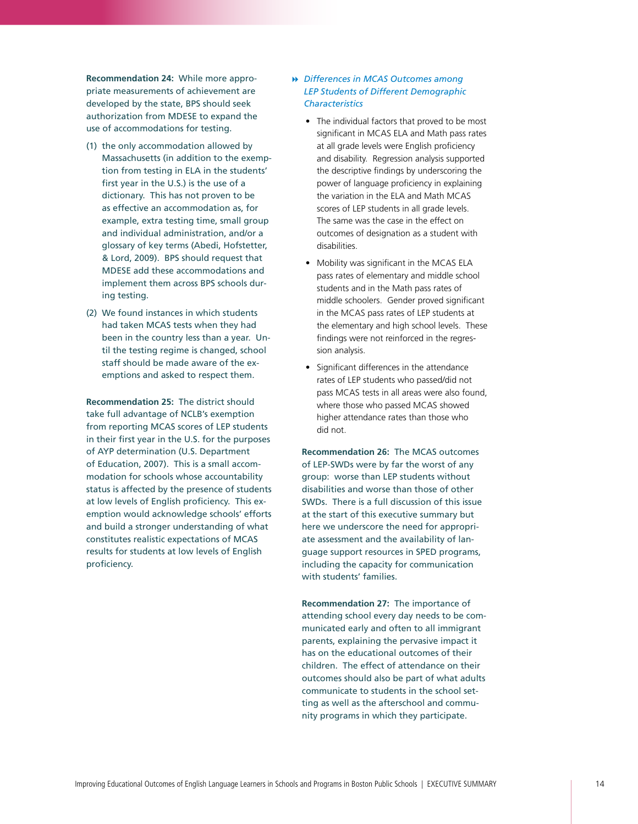**Recommendation 24:** While more appropriate measurements of achievement are developed by the state, BPS should seek authorization from MDESE to expand the use of accommodations for testing.

- (1) the only accommodation allowed by Massachusetts (in addition to the exemption from testing in ELA in the students' first year in the U.S.) is the use of a dictionary. This has not proven to be as effective an accommodation as, for example, extra testing time, small group and individual administration, and/or a glossary of key terms (Abedi, Hofstetter, & Lord, 2009). BPS should request that MDESE add these accommodations and implement them across BPS schools during testing.
- (2) We found instances in which students had taken MCAS tests when they had been in the country less than a year. Until the testing regime is changed, school staff should be made aware of the exemptions and asked to respect them.

**Recommendation 25:** The district should take full advantage of NCLB's exemption from reporting MCAS scores of LEP students in their first year in the U.S. for the purposes of AYP determination (U.S. Department of Education, 2007). This is a small accommodation for schools whose accountability status is affected by the presence of students at low levels of English proficiency. This exemption would acknowledge schools' efforts and build a stronger understanding of what constitutes realistic expectations of MCAS results for students at low levels of English proficiency.

## 8 *Differences in MCAS Outcomes among LEP Students of Different Demographic Characteristics*

- The individual factors that proved to be most significant in MCAS ELA and Math pass rates at all grade levels were English proficiency and disability. Regression analysis supported the descriptive findings by underscoring the power of language proficiency in explaining the variation in the ELA and Math MCAS scores of LEP students in all grade levels. The same was the case in the effect on outcomes of designation as a student with disabilities.
- Mobility was significant in the MCAS ELA pass rates of elementary and middle school students and in the Math pass rates of middle schoolers. Gender proved significant in the MCAS pass rates of LEP students at the elementary and high school levels. These findings were not reinforced in the regression analysis.
- • Significant differences in the attendance rates of LEP students who passed/did not pass MCAS tests in all areas were also found, where those who passed MCAS showed higher attendance rates than those who did not.

**Recommendation 26:** The MCAS outcomes of LEP-SWDs were by far the worst of any group: worse than LEP students without disabilities and worse than those of other SWDs. There is a full discussion of this issue at the start of this executive summary but here we underscore the need for appropriate assessment and the availability of language support resources in SPED programs, including the capacity for communication with students' families.

**Recommendation 27:** The importance of attending school every day needs to be communicated early and often to all immigrant parents, explaining the pervasive impact it has on the educational outcomes of their children. The effect of attendance on their outcomes should also be part of what adults communicate to students in the school setting as well as the afterschool and community programs in which they participate.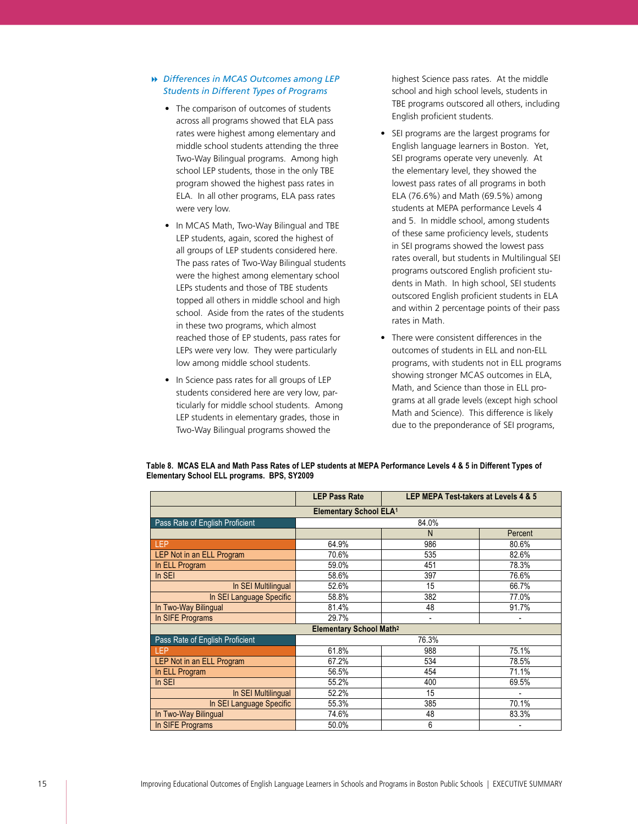## 8 *Differences in MCAS Outcomes among LEP Students in Different Types of Programs*

- The comparison of outcomes of students across all programs showed that ELA pass rates were highest among elementary and middle school students attending the three Two-Way Bilingual programs. Among high school LEP students, those in the only TBE program showed the highest pass rates in ELA. In all other programs, ELA pass rates were very low.
- In MCAS Math, Two-Way Bilingual and TBE LEP students, again, scored the highest of all groups of LEP students considered here. The pass rates of Two-Way Bilingual students were the highest among elementary school LEPs students and those of TBE students topped all others in middle school and high school. Aside from the rates of the students in these two programs, which almost reached those of EP students, pass rates for LEPs were very low. They were particularly low among middle school students.
- In Science pass rates for all groups of LEP students considered here are very low, particularly for middle school students. Among LEP students in elementary grades, those in Two-Way Bilingual programs showed the due to the preponderance of SEI programs,

highest Science pass rates. At the middle school and high school levels, students in TBE programs outscored all others, including English proficient students.

- • SEI programs are the largest programs for English language learners in Boston. Yet, SEI programs operate very unevenly. At the elementary level, they showed the lowest pass rates of all programs in both ELA (76.6%) and Math (69.5%) among students at MEPA performance Levels 4 and 5. In middle school, among students of these same proficiency levels, students in SEI programs showed the lowest pass rates overall, but students in Multilingual SEI programs outscored English proficient students in Math. In high school, SEI students outscored English proficient students in ELA and within 2 percentage points of their pass rates in Math.
- There were consistent differences in the outcomes of students in ELL and non-ELL programs, with students not in ELL programs showing stronger MCAS outcomes in ELA, Math, and Science than those in ELL programs at all grade levels (except high school Math and Science). This difference is likely

|                                           | <b>LEP Pass Rate</b>          | LEP MEPA Test-takers at Levels 4 & 5 |         |  |  |  |
|-------------------------------------------|-------------------------------|--------------------------------------|---------|--|--|--|
|                                           | <b>Elementary School ELA1</b> |                                      |         |  |  |  |
| Pass Rate of English Proficient           |                               | 84.0%                                |         |  |  |  |
|                                           |                               | N                                    | Percent |  |  |  |
| <b>LEP</b>                                | 64.9%                         | 986                                  | 80.6%   |  |  |  |
| LEP Not in an ELL Program                 | 70.6%                         | 535                                  | 82.6%   |  |  |  |
| In ELL Program                            | 59.0%                         | 451                                  | 78.3%   |  |  |  |
| In SEI                                    | 58.6%                         | 397                                  | 76.6%   |  |  |  |
| In SEI Multilingual                       | 52.6%                         | 15                                   | 66.7%   |  |  |  |
| In SEI Language Specific                  | 58.8%                         | 382                                  | 77.0%   |  |  |  |
| In Two-Way Bilingual                      | 81.4%                         | 48                                   | 91.7%   |  |  |  |
| In SIFE Programs                          | 29.7%                         | $\blacksquare$                       | -       |  |  |  |
| <b>Elementary School Math<sup>2</sup></b> |                               |                                      |         |  |  |  |
| Pass Rate of English Proficient           | 76.3%                         |                                      |         |  |  |  |
| <b>LEP</b>                                | 61.8%                         | 988                                  | 75.1%   |  |  |  |
| LEP Not in an ELL Program                 | 67.2%                         | 534                                  | 78.5%   |  |  |  |
| In ELL Program                            | 56.5%                         | 454                                  | 71.1%   |  |  |  |
| In SEI                                    | 55.2%                         | 400                                  | 69.5%   |  |  |  |
| In SEI Multilingual                       | 52.2%                         | 15                                   |         |  |  |  |
| In SEI Language Specific                  | 55.3%                         | 385                                  | 70.1%   |  |  |  |
| In Two-Way Bilingual                      | 74.6%                         | 48                                   | 83.3%   |  |  |  |
| In SIFE Programs                          | 50.0%                         | 6                                    |         |  |  |  |

**Table 8. MCAS ELA and Math Pass Rates of LEP students at MEPA Performance Levels 4 & 5 in Different Types of Elementary School ELL programs. BPS, SY2009**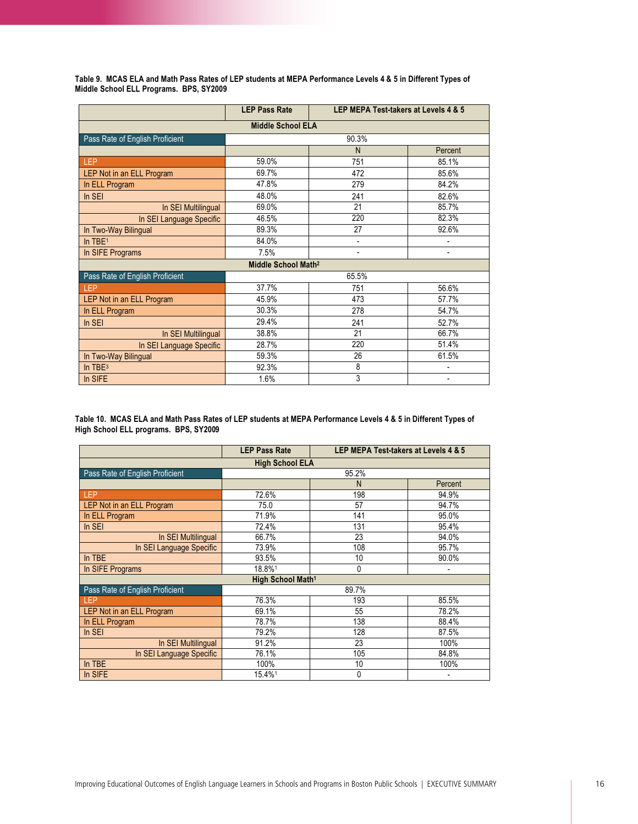**Table 9. MCAS ELA and Math Pass Rates of LEP students at MEPA Performance Levels 4 & 5 in Different Types of Middle School ELL Programs. BPS, SY2009**

|                                 | LEP MEPA Test-takers at Levels 4 & 5<br><b>LEP Pass Rate</b> |                          |                          |  |  |
|---------------------------------|--------------------------------------------------------------|--------------------------|--------------------------|--|--|
|                                 | <b>Middle School ELA</b>                                     |                          |                          |  |  |
| Pass Rate of English Proficient |                                                              | 90.3%                    |                          |  |  |
|                                 |                                                              | N                        | Percent                  |  |  |
| LEP                             | 59.0%                                                        | 751                      | 85.1%                    |  |  |
| LEP Not in an ELL Program       | 69.7%                                                        | 472                      | 85.6%                    |  |  |
| In ELL Program                  | 47.8%                                                        | 279                      | 84.2%                    |  |  |
| In SEI                          | 48.0%                                                        | 241                      | 82.6%                    |  |  |
| In SEI Multilingual             | 69.0%                                                        | 21                       | 85.7%                    |  |  |
| In SEI Language Specific        | 46.5%                                                        | 220                      | 82.3%                    |  |  |
| In Two-Way Bilingual            | 89.3%                                                        | 27                       | 92.6%                    |  |  |
| In TBE <sup>1</sup>             | 84.0%                                                        | ٠                        |                          |  |  |
| In SIFE Programs                | 7.5%                                                         | $\overline{\phantom{0}}$ | ÷,                       |  |  |
| Middle School Math <sup>2</sup> |                                                              |                          |                          |  |  |
| Pass Rate of English Proficient | 65.5%                                                        |                          |                          |  |  |
| LEP                             | 37.7%                                                        | 751                      | 56.6%                    |  |  |
| LEP Not in an ELL Program       | 45.9%                                                        | 473                      | 57.7%                    |  |  |
| In ELL Program                  | 30.3%                                                        | 278                      | 54.7%                    |  |  |
| In SEI                          | 29.4%                                                        | 241                      | 52.7%                    |  |  |
| In SEI Multilingual             | 38.8%                                                        | 21                       | 66.7%                    |  |  |
| In SEI Language Specific        | 28.7%                                                        | 220                      | 51.4%                    |  |  |
| In Two-Way Bilingual            | 59.3%                                                        | 26                       | 61.5%                    |  |  |
| In $TBE3$                       | 92.3%                                                        | 8                        | $\overline{\phantom{a}}$ |  |  |
| In SIFE                         | 1.6%                                                         | 3                        | $\blacksquare$           |  |  |

**Table 10. MCAS ELA and Math Pass Rates of LEP students at MEPA Performance Levels 4 & 5 in Different Types of High School ELL programs. BPS, SY2009** 

|                                 | <b>LEP Pass Rate</b> | LEP MEPA Test-takers at Levels 4 & 5 |                          |  |
|---------------------------------|----------------------|--------------------------------------|--------------------------|--|
| <b>High School ELA</b>          |                      |                                      |                          |  |
| Pass Rate of English Proficient |                      | 95.2%                                |                          |  |
|                                 |                      | N                                    | Percent                  |  |
| <b>LEP</b>                      | 72.6%                | 198                                  | 94.9%                    |  |
| LEP Not in an ELL Program       | 75.0                 | 57                                   | 94.7%                    |  |
| In ELL Program                  | 71.9%                | 141                                  | 95.0%                    |  |
| In SEI                          | 72.4%                | 131                                  | 95.4%                    |  |
| In SEI Multilingual             | 66.7%                | 23                                   | 94.0%                    |  |
| In SEI Language Specific        | 73.9%                | 108                                  | 95.7%                    |  |
| In TBE                          | 93.5%                | 10                                   | 90.0%                    |  |
| In SIFE Programs                | 18.8%1               | 0                                    | $\overline{\phantom{a}}$ |  |
| High School Math <sup>1</sup>   |                      |                                      |                          |  |
| Pass Rate of English Proficient | 89.7%                |                                      |                          |  |
| LEP                             | 76.3%                | 193                                  | 85.5%                    |  |
| LEP Not in an ELL Program       | 69.1%                | 55                                   | 78.2%                    |  |
| In ELL Program                  | 78.7%                | 138                                  | 88.4%                    |  |
| In SEI                          | 79.2%                | 128                                  | 87.5%                    |  |
| In SEI Multilingual             | 91.2%                | 23                                   | 100%                     |  |
| In SEI Language Specific        | 76.1%                | 105                                  | 84.8%                    |  |
| In TBE                          | 100%                 | 10                                   | 100%                     |  |
| In SIFE                         | 15.4%1               | 0                                    |                          |  |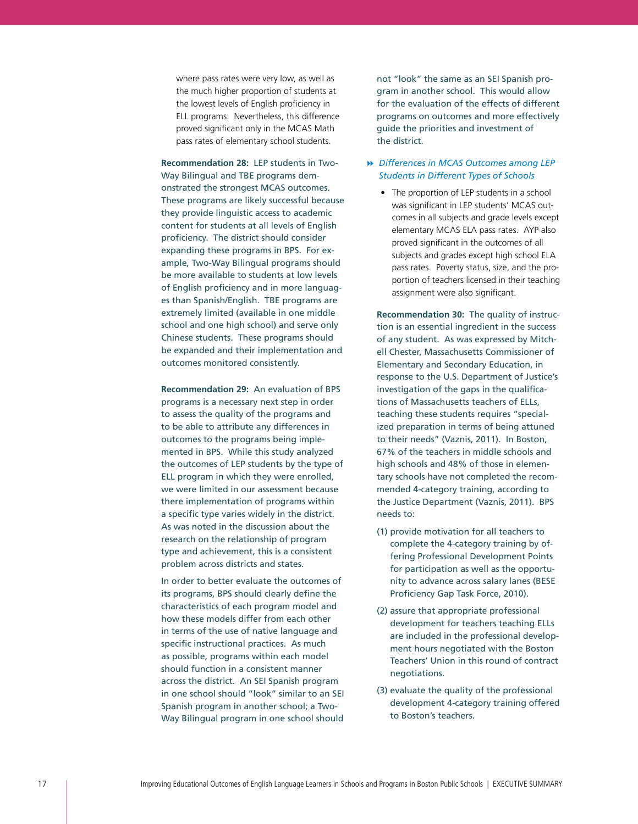where pass rates were very low, as well as the much higher proportion of students at the lowest levels of English proficiency in ELL programs. Nevertheless, this difference proved significant only in the MCAS Math pass rates of elementary school students.

**Recommendation 28:** LEP students in Two-Way Bilingual and TBE programs demonstrated the strongest MCAS outcomes. These programs are likely successful because they provide linguistic access to academic content for students at all levels of English proficiency. The district should consider expanding these programs in BPS. For example, Two-Way Bilingual programs should be more available to students at low levels of English proficiency and in more languages than Spanish/English. TBE programs are extremely limited (available in one middle school and one high school) and serve only Chinese students. These programs should be expanded and their implementation and outcomes monitored consistently.

**Recommendation 29:** An evaluation of BPS programs is a necessary next step in order to assess the quality of the programs and to be able to attribute any differences in outcomes to the programs being implemented in BPS. While this study analyzed the outcomes of LEP students by the type of ELL program in which they were enrolled, we were limited in our assessment because there implementation of programs within a specific type varies widely in the district. As was noted in the discussion about the research on the relationship of program type and achievement, this is a consistent problem across districts and states.

In order to better evaluate the outcomes of its programs, BPS should clearly define the characteristics of each program model and how these models differ from each other in terms of the use of native language and specific instructional practices. As much as possible, programs within each model should function in a consistent manner across the district. An SEI Spanish program in one school should "look" similar to an SEI Spanish program in another school; a Two-Way Bilingual program in one school should

not "look" the same as an SEI Spanish program in another school. This would allow for the evaluation of the effects of different programs on outcomes and more effectively guide the priorities and investment of the district.

### 8 *Differences in MCAS Outcomes among LEP Students in Different Types of Schools*

• The proportion of LEP students in a school was significant in LEP students' MCAS outcomes in all subjects and grade levels except elementary MCAS ELA pass rates. AYP also proved significant in the outcomes of all subjects and grades except high school ELA pass rates. Poverty status, size, and the proportion of teachers licensed in their teaching assignment were also significant.

**Recommendation 30:** The quality of instruction is an essential ingredient in the success of any student. As was expressed by Mitchell Chester, Massachusetts Commissioner of Elementary and Secondary Education, in response to the U.S. Department of Justice's investigation of the gaps in the qualifications of Massachusetts teachers of ELLs, teaching these students requires "specialized preparation in terms of being attuned to their needs" (Vaznis, 2011). In Boston, 67% of the teachers in middle schools and high schools and 48% of those in elementary schools have not completed the recommended 4-category training, according to the Justice Department (Vaznis, 2011). BPS needs to:

- (1) provide motivation for all teachers to complete the 4-category training by offering Professional Development Points for participation as well as the opportunity to advance across salary lanes (BESE Proficiency Gap Task Force, 2010).
- (2) assure that appropriate professional development for teachers teaching ELLs are included in the professional development hours negotiated with the Boston Teachers' Union in this round of contract negotiations.
- (3) evaluate the quality of the professional development 4-category training offered to Boston's teachers.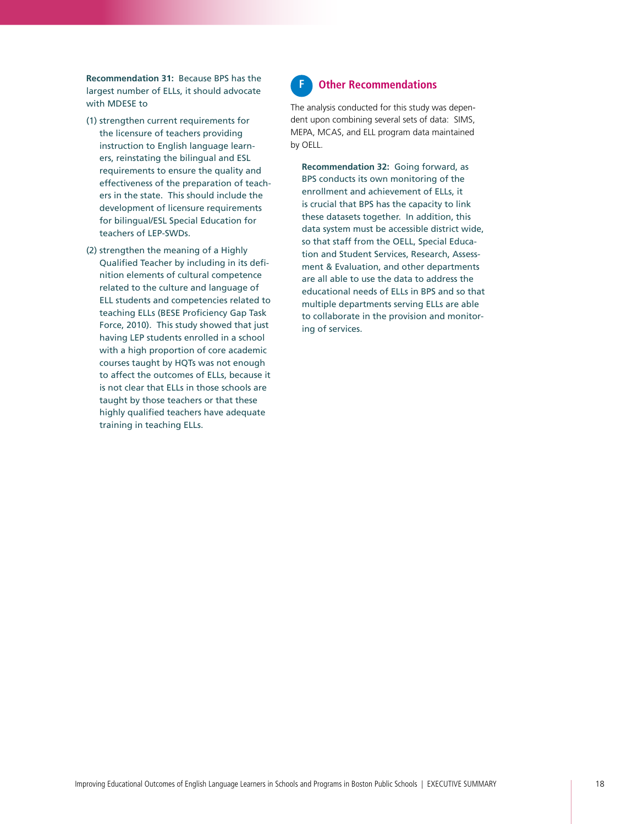**Recommendation 31:** Because BPS has the largest number of ELLs, it should advocate with MDESE to

- (1) strengthen current requirements for the licensure of teachers providing instruction to English language learners, reinstating the bilingual and ESL requirements to ensure the quality and effectiveness of the preparation of teachers in the state. This should include the development of licensure requirements for bilingual/ESL Special Education for teachers of LEP-SWDs.
- (2) strengthen the meaning of a Highly Qualified Teacher by including in its definition elements of cultural competence related to the culture and language of ELL students and competencies related to teaching ELLs (BESE Proficiency Gap Task Force, 2010). This study showed that just having LEP students enrolled in a school with a high proportion of core academic courses taught by HQTs was not enough to affect the outcomes of ELLs, because it is not clear that ELLs in those schools are taught by those teachers or that these highly qualified teachers have adequate training in teaching ELLs.



The analysis conducted for this study was dependent upon combining several sets of data: SIMS, MEPA, MCAS, and ELL program data maintained by OELL.

**Recommendation 32:** Going forward, as BPS conducts its own monitoring of the enrollment and achievement of ELLs, it is crucial that BPS has the capacity to link these datasets together. In addition, this data system must be accessible district wide, so that staff from the OELL, Special Education and Student Services, Research, Assessment & Evaluation, and other departments are all able to use the data to address the educational needs of ELLs in BPS and so that multiple departments serving ELLs are able to collaborate in the provision and monitoring of services.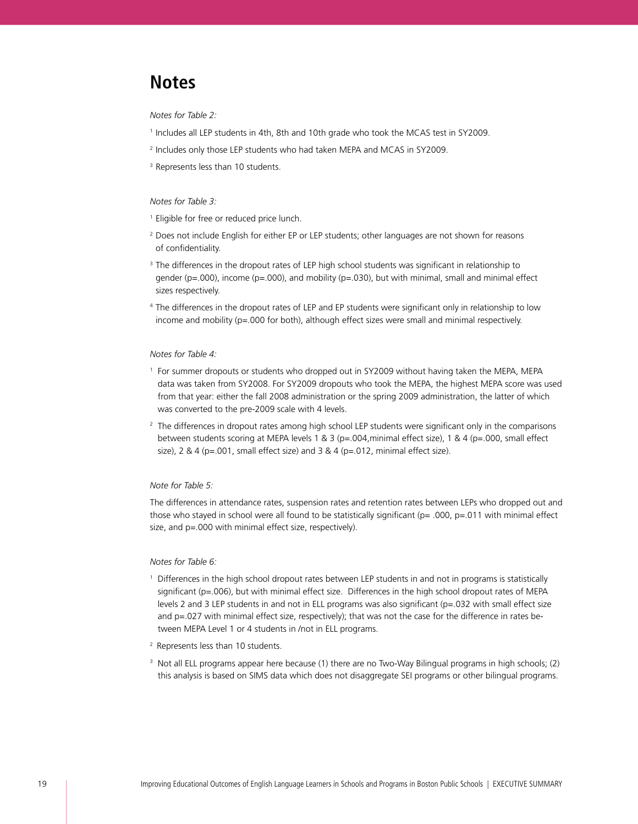# **Notes**

*Notes for Table 2:*

- <sup>1</sup> Includes all LEP students in 4th, 8th and 10th grade who took the MCAS test in SY2009.
- <sup>2</sup> Includes only those LEP students who had taken MEPA and MCAS in SY2009.
- <sup>3</sup> Represents less than 10 students.

#### *Notes for Table 3:*

- <sup>1</sup> Eligible for free or reduced price lunch.
- <sup>2</sup> Does not include English for either EP or LEP students; other languages are not shown for reasons of confidentiality.
- <sup>3</sup> The differences in the dropout rates of LEP high school students was significant in relationship to gender ( $p=000$ ), income ( $p=000$ ), and mobility ( $p=030$ ), but with minimal, small and minimal effect sizes respectively.
- 4 The differences in the dropout rates of LEP and EP students were significant only in relationship to low income and mobility (p=.000 for both), although effect sizes were small and minimal respectively.

#### *Notes for Table 4:*

- 1 For summer dropouts or students who dropped out in SY2009 without having taken the MEPA, MEPA data was taken from SY2008. For SY2009 dropouts who took the MEPA, the highest MEPA score was used from that year: either the fall 2008 administration or the spring 2009 administration, the latter of which was converted to the pre-2009 scale with 4 levels.
- <sup>2</sup> The differences in dropout rates among high school LEP students were significant only in the comparisons between students scoring at MEPA levels 1 & 3 (p=.004,minimal effect size), 1 & 4 (p=.000, small effect size), 2 & 4 (p=.001, small effect size) and 3 & 4 (p=.012, minimal effect size).

#### *Note for Table 5:*

The differences in attendance rates, suspension rates and retention rates between LEPs who dropped out and those who stayed in school were all found to be statistically significant (p= .000, p=.011 with minimal effect size, and p=.000 with minimal effect size, respectively).

### *Notes for Table 6:*

- 1 Differences in the high school dropout rates between LEP students in and not in programs is statistically significant (p=.006), but with minimal effect size. Differences in the high school dropout rates of MEPA levels 2 and 3 LEP students in and not in ELL programs was also significant (p=.032 with small effect size and p=.027 with minimal effect size, respectively); that was not the case for the difference in rates between MEPA Level 1 or 4 students in /not in ELL programs.
- 2 Represents less than 10 students.
- 3 Not all ELL programs appear here because (1) there are no Two-Way Bilingual programs in high schools; (2) this analysis is based on SIMS data which does not disaggregate SEI programs or other bilingual programs.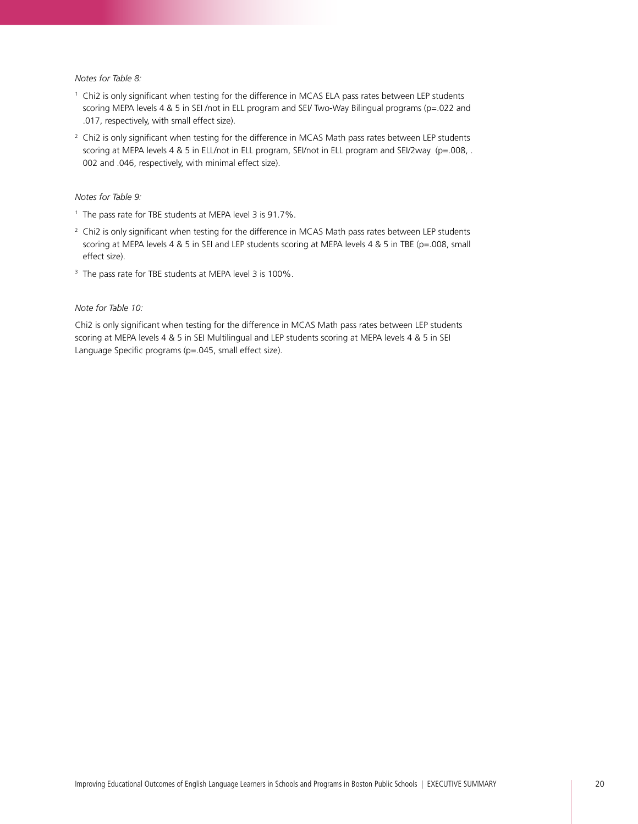#### *Notes for Table 8:*

- 1 Chi2 is only significant when testing for the difference in MCAS ELA pass rates between LEP students scoring MEPA levels 4 & 5 in SEI /not in ELL program and SEI/ Two-Way Bilingual programs (p=.022 and .017, respectively, with small effect size).
- $2$  Chi2 is only significant when testing for the difference in MCAS Math pass rates between LEP students scoring at MEPA levels 4 & 5 in ELL/not in ELL program, SEI/not in ELL program and SEI/2way (p=.008, . 002 and .046, respectively, with minimal effect size).

#### *Notes for Table 9:*

- 1 The pass rate for TBE students at MEPA level 3 is 91.7%.
- $2$  Chi2 is only significant when testing for the difference in MCAS Math pass rates between LEP students scoring at MEPA levels 4 & 5 in SEI and LEP students scoring at MEPA levels 4 & 5 in TBE (p=.008, small effect size).
- <sup>3</sup> The pass rate for TBE students at MEPA level 3 is 100%.

### *Note for Table 10:*

Chi2 is only significant when testing for the difference in MCAS Math pass rates between LEP students scoring at MEPA levels 4 & 5 in SEI Multilingual and LEP students scoring at MEPA levels 4 & 5 in SEI Language Specific programs (p=.045, small effect size).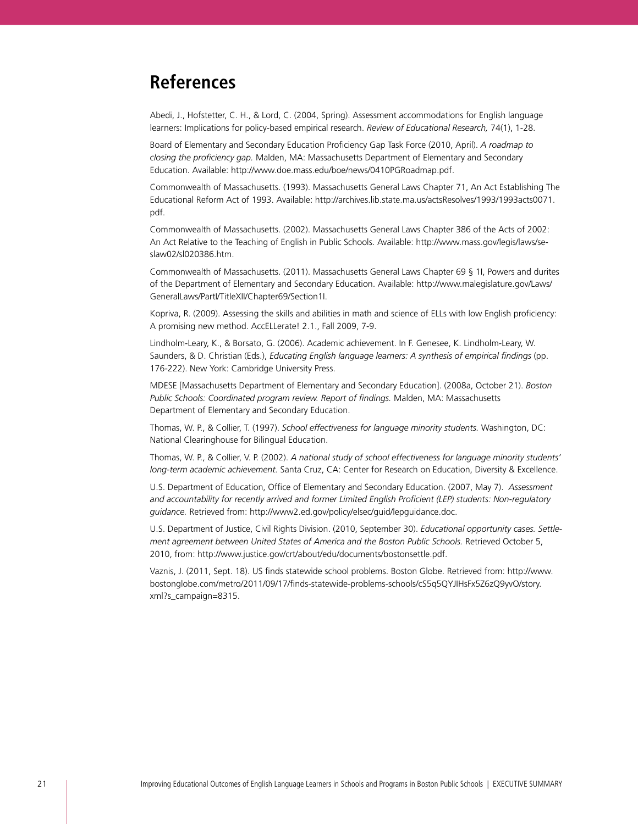# **References**

Abedi, J., Hofstetter, C. H., & Lord, C. (2004, Spring). Assessment accommodations for English language learners: Implications for policy-based empirical research. *Review of Educational Research,* 74(1), 1-28.

Board of Elementary and Secondary Education Proficiency Gap Task Force (2010, April). *A roadmap to closing the proficiency gap.* Malden, MA: Massachusetts Department of Elementary and Secondary Education. Available: http://www.doe.mass.edu/boe/news/0410PGRoadmap.pdf.

Commonwealth of Massachusetts. (1993). Massachusetts General Laws Chapter 71, An Act Establishing The Educational Reform Act of 1993. Available: http://archives.lib.state.ma.us/actsResolves/1993/1993acts0071. pdf.

Commonwealth of Massachusetts. (2002). Massachusetts General Laws Chapter 386 of the Acts of 2002: An Act Relative to the Teaching of English in Public Schools. Available: http://www.mass.gov/legis/laws/seslaw02/sl020386.htm.

Commonwealth of Massachusetts. (2011). Massachusetts General Laws Chapter 69 § 1I, Powers and durites of the Department of Elementary and Secondary Education. Available: http://www.malegislature.gov/Laws/ GeneralLaws/PartI/TitleXII/Chapter69/Section1I.

Kopriva, R. (2009). Assessing the skills and abilities in math and science of ELLs with low English proficiency: A promising new method. AccELLerate! 2.1., Fall 2009, 7-9.

Lindholm-Leary, K., & Borsato, G. (2006). Academic achievement. In F. Genesee, K. Lindholm-Leary, W. Saunders, & D. Christian (Eds.), *Educating English language learners: A synthesis of empirical findings* (pp. 176-222). New York: Cambridge University Press.

MDESE [Massachusetts Department of Elementary and Secondary Education]. (2008a, October 21). *Boston Public Schools: Coordinated program review. Report of findings.* Malden, MA: Massachusetts Department of Elementary and Secondary Education.

Thomas, W. P., & Collier, T. (1997). *School effectiveness for language minority students.* Washington, DC: National Clearinghouse for Bilingual Education.

Thomas, W. P., & Collier, V. P. (2002). *A national study of school effectiveness for language minority students' long-term academic achievement.* Santa Cruz, CA: Center for Research on Education, Diversity & Excellence.

U.S. Department of Education, Office of Elementary and Secondary Education. (2007, May 7). *Assessment and accountability for recently arrived and former Limited English Proficient (LEP) students: Non-regulatory guidance.* Retrieved from: http://www2.ed.gov/policy/elsec/guid/lepguidance.doc.

U.S. Department of Justice, Civil Rights Division. (2010, September 30). *Educational opportunity cases. Settlement agreement between United States of America and the Boston Public Schools. Retrieved October 5,* 2010, from: http://www.justice.gov/crt/about/edu/documents/bostonsettle.pdf.

Vaznis, J. (2011, Sept. 18). US finds statewide school problems. Boston Globe. Retrieved from: http://www. bostonglobe.com/metro/2011/09/17/finds-statewide-problems-schools/cS5q5QYJIHsFx5Z6zQ9yvO/story. xml?s\_campaign=8315.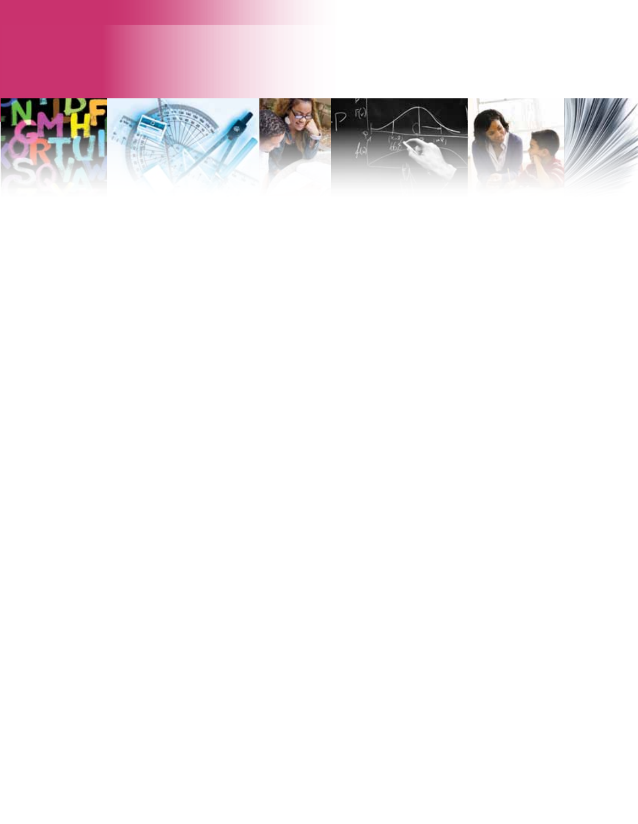